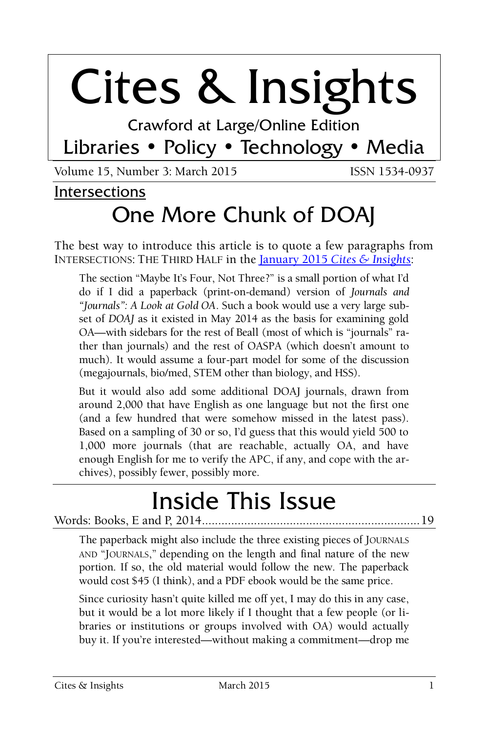# Cites & Insights

Crawford at Large/Online Edition

# Libraries • Policy • Technology • Media

Volume 15, Number 3: March 2015 **ISSN 1534-0937** 

#### Intersections

# One More Chunk of DOAJ

The best way to introduce this article is to quote a few paragraphs from INTERSECTIONS: THE THIRD HALF in the January 2015 *[Cites & Insights](http://citesandinsights.info/civ15i1.pdf)*:

The section "Maybe It's Four, Not Three?" is a small portion of what I'd do if I did a paperback (print-on-demand) version of *Journals and "Journals": A Look at Gold OA*. Such a book would use a very large subset of *DOAJ* as it existed in May 2014 as the basis for examining gold OA—with sidebars for the rest of Beall (most of which is "journals" rather than journals) and the rest of OASPA (which doesn't amount to much). It would assume a four-part model for some of the discussion (megajournals, bio/med, STEM other than biology, and HSS).

But it would also add some additional DOAJ journals, drawn from around 2,000 that have English as one language but not the first one (and a few hundred that were somehow missed in the latest pass). Based on a sampling of 30 or so, I'd guess that this would yield 500 to 1,000 more journals (that are reachable, actually OA, and have enough English for me to verify the APC, if any, and cope with the archives), possibly fewer, possibly more.

# Inside This Issue

#### Words: Books, E and P, 2014...................................................................19

The paperback might also include the three existing pieces of JOURNALS AND "JOURNALS," depending on the length and final nature of the new portion. If so, the old material would follow the new. The paperback would cost \$45 (I think), and a PDF ebook would be the same price.

Since curiosity hasn't quite killed me off yet, I may do this in any case, but it would be a lot more likely if I thought that a few people (or libraries or institutions or groups involved with OA) would actually buy it. If you're interested—without making a commitment—drop me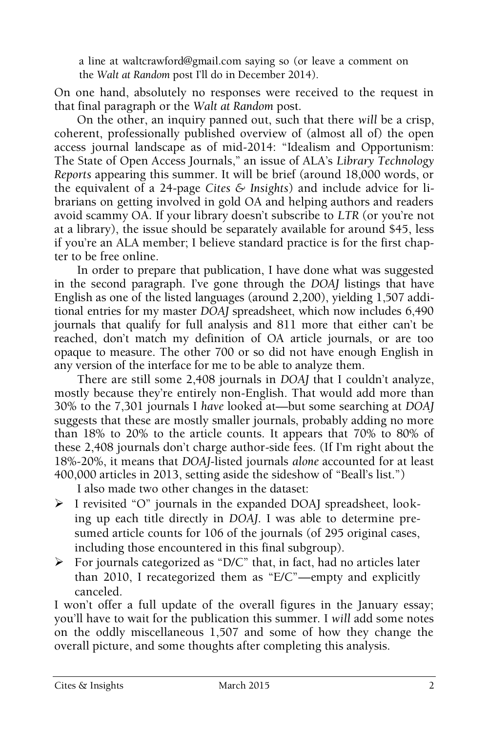a line at waltcrawford@gmail.com saying so (or leave a comment on the *Walt at Random* post I'll do in December 2014).

On one hand, absolutely no responses were received to the request in that final paragraph or the *Walt at Random* post.

On the other, an inquiry panned out, such that there *will* be a crisp, coherent, professionally published overview of (almost all of) the open access journal landscape as of mid-2014: "Idealism and Opportunism: The State of Open Access Journals," an issue of ALA's *Library Technology Reports* appearing this summer. It will be brief (around 18,000 words, or the equivalent of a 24-page *Cites & Insights*) and include advice for librarians on getting involved in gold OA and helping authors and readers avoid scammy OA. If your library doesn't subscribe to *LTR* (or you're not at a library), the issue should be separately available for around \$45, less if you're an ALA member; I believe standard practice is for the first chapter to be free online.

In order to prepare that publication, I have done what was suggested in the second paragraph. I've gone through the *DOAJ* listings that have English as one of the listed languages (around 2,200), yielding 1,507 additional entries for my master *DOAJ* spreadsheet, which now includes 6,490 journals that qualify for full analysis and 811 more that either can't be reached, don't match my definition of OA article journals, or are too opaque to measure. The other 700 or so did not have enough English in any version of the interface for me to be able to analyze them.

There are still some 2,408 journals in *DOAJ* that I couldn't analyze, mostly because they're entirely non-English. That would add more than 30% to the 7,301 journals I *have* looked at—but some searching at *DOAJ*  suggests that these are mostly smaller journals, probably adding no more than 18% to 20% to the article counts. It appears that 70% to 80% of these 2,408 journals don't charge author-side fees. (If I'm right about the 18%-20%, it means that *DOAJ*-listed journals *alone* accounted for at least 400,000 articles in 2013, setting aside the sideshow of "Beall's list.")

I also made two other changes in the dataset:

- I revisited "O" journals in the expanded DOAJ spreadsheet, looking up each title directly in *DOAJ*. I was able to determine presumed article counts for 106 of the journals (of 295 original cases, including those encountered in this final subgroup).
- $\triangleright$  For journals categorized as "D/C" that, in fact, had no articles later than 2010, I recategorized them as "E/C"—empty and explicitly canceled.

I won't offer a full update of the overall figures in the January essay; you'll have to wait for the publication this summer. I *will* add some notes on the oddly miscellaneous 1,507 and some of how they change the overall picture, and some thoughts after completing this analysis.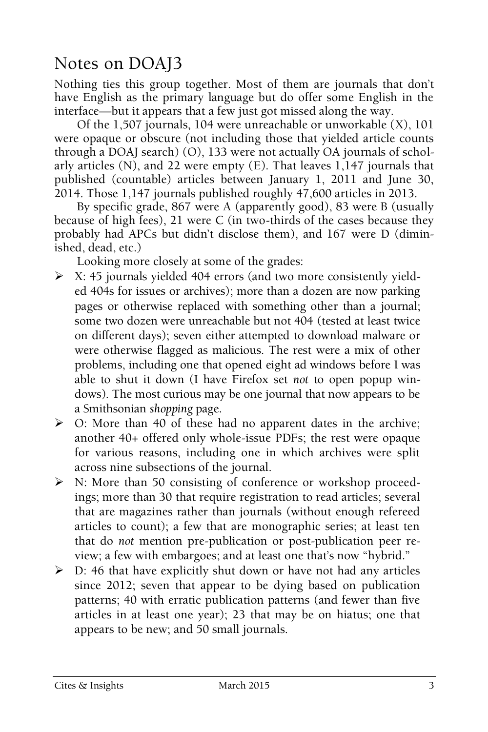## Notes on DOAJ3

Nothing ties this group together. Most of them are journals that don't have English as the primary language but do offer some English in the interface—but it appears that a few just got missed along the way.

Of the 1,507 journals, 104 were unreachable or unworkable (X), 101 were opaque or obscure (not including those that yielded article counts through a DOAJ search) (O), 133 were not actually OA journals of scholarly articles (N), and 22 were empty (E). That leaves 1,147 journals that published (countable) articles between January 1, 2011 and June 30, 2014. Those 1,147 journals published roughly 47,600 articles in 2013.

By specific grade, 867 were A (apparently good), 83 were B (usually because of high fees), 21 were C (in two-thirds of the cases because they probably had APCs but didn't disclose them), and 167 were D (diminished, dead, etc.)

Looking more closely at some of the grades:

- $\triangleright$  X: 45 journals yielded 404 errors (and two more consistently yielded 404s for issues or archives); more than a dozen are now parking pages or otherwise replaced with something other than a journal; some two dozen were unreachable but not 404 (tested at least twice on different days); seven either attempted to download malware or were otherwise flagged as malicious. The rest were a mix of other problems, including one that opened eight ad windows before I was able to shut it down (I have Firefox set *not* to open popup windows). The most curious may be one journal that now appears to be a Smithsonian *shopping* page.
- $\triangleright$  O: More than 40 of these had no apparent dates in the archive; another 40+ offered only whole-issue PDFs; the rest were opaque for various reasons, including one in which archives were split across nine subsections of the journal.
- N: More than 50 consisting of conference or workshop proceedings; more than 30 that require registration to read articles; several that are magazines rather than journals (without enough refereed articles to count); a few that are monographic series; at least ten that do *not* mention pre-publication or post-publication peer review; a few with embargoes; and at least one that's now "hybrid."
- $\triangleright$  D: 46 that have explicitly shut down or have not had any articles since 2012; seven that appear to be dying based on publication patterns; 40 with erratic publication patterns (and fewer than five articles in at least one year); 23 that may be on hiatus; one that appears to be new; and 50 small journals.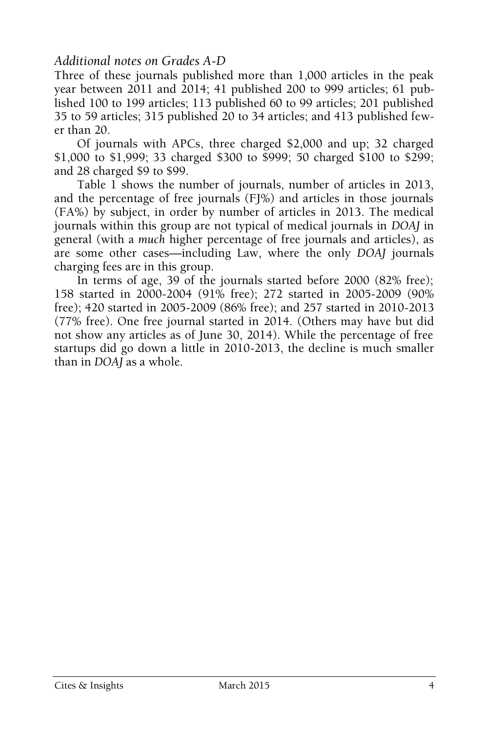#### *Additional notes on Grades A-D*

Three of these journals published more than 1,000 articles in the peak year between 2011 and 2014; 41 published 200 to 999 articles; 61 published 100 to 199 articles; 113 published 60 to 99 articles; 201 published 35 to 59 articles; 315 published 20 to 34 articles; and 413 published fewer than 20.

Of journals with APCs, three charged \$2,000 and up; 32 charged \$1,000 to \$1,999; 33 charged \$300 to \$999; 50 charged \$100 to \$299; and 28 charged \$9 to \$99.

Table 1 shows the number of journals, number of articles in 2013, and the percentage of free journals (FJ%) and articles in those journals (FA%) by subject, in order by number of articles in 2013. The medical journals within this group are not typical of medical journals in *DOAJ* in general (with a *much* higher percentage of free journals and articles), as are some other cases—including Law, where the only *DOAJ* journals charging fees are in this group.

In terms of age, 39 of the journals started before 2000 (82% free); 158 started in 2000-2004 (91% free); 272 started in 2005-2009 (90% free); 420 started in 2005-2009 (86% free); and 257 started in 2010-2013 (77% free). One free journal started in 2014. (Others may have but did not show any articles as of June 30, 2014). While the percentage of free startups did go down a little in 2010-2013, the decline is much smaller than in *DOAJ* as a whole.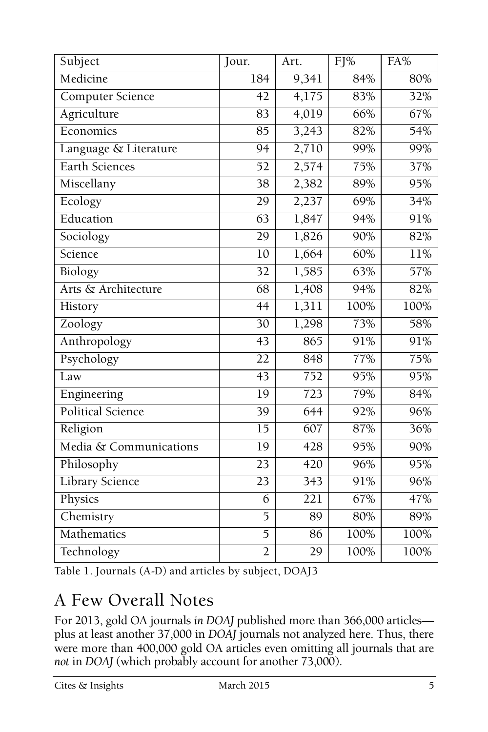| Subject                  | Jour.           | Art.             | FJ%  | FA%  |
|--------------------------|-----------------|------------------|------|------|
| Medicine                 | 184             | 9,341            | 84%  | 80%  |
| Computer Science         | 42              | 4,175            | 83%  | 32%  |
| Agriculture              | 83              | 4,019            | 66%  | 67%  |
| Economics                | $\overline{85}$ | 3,243            | 82%  | 54%  |
| Language & Literature    | 94              | 2,710            | 99%  | 99%  |
| <b>Earth Sciences</b>    | $\overline{52}$ | 2,574            | 75%  | 37%  |
| Miscellany               | $\overline{38}$ | 2,382            | 89%  | 95%  |
| Ecology                  | 29              | 2,237            | 69%  | 34%  |
| Education                | 63              | 1,847            | 94%  | 91%  |
| Sociology                | 29              | 1,826            | 90%  | 82%  |
| Science                  | 10              | 1,664            | 60%  | 11%  |
| <b>Biology</b>           | $\overline{32}$ | 1,585            | 63%  | 57%  |
| Arts & Architecture      | 68              | 1,408            | 94%  | 82%  |
| History                  | $\overline{44}$ | 1,311            | 100% | 100% |
| Zoology                  | 30              | 1,298            | 73%  | 58%  |
| Anthropology             | $\overline{43}$ | 865              | 91%  | 91%  |
| Psychology               | 22              | 848              | 77%  | 75%  |
| Law                      | 43              | 752              | 95%  | 95%  |
| Engineering              | $\overline{19}$ | 723              | 79%  | 84%  |
| <b>Political Science</b> | $\overline{39}$ | 644              | 92%  | 96%  |
| Religion                 | $\overline{15}$ | $\overline{607}$ | 87%  | 36%  |
| Media & Communications   | $\overline{1}9$ | 428              | 95%  | 90%  |
| Philosophy               | 23              | 420              | 96%  | 95%  |
| <b>Library Science</b>   | $\overline{23}$ | $\overline{3}43$ | 91%  | 96%  |
| Physics                  | $\overline{6}$  | 221              | 67%  | 47%  |
| Chemistry                | 5               | 89               | 80%  | 89%  |
| Mathematics              | $\overline{5}$  | 86               | 100% | 100% |
| Technology               | $\overline{2}$  | 29               | 100% | 100% |

Table 1. Journals (A-D) and articles by subject, DOAJ3

## A Few Overall Notes

For 2013, gold OA journals *in DOAJ* published more than 366,000 articles plus at least another 37,000 in *DOAJ* journals not analyzed here. Thus, there were more than 400,000 gold OA articles even omitting all journals that are *not* in *DOAJ* (which probably account for another 73,000).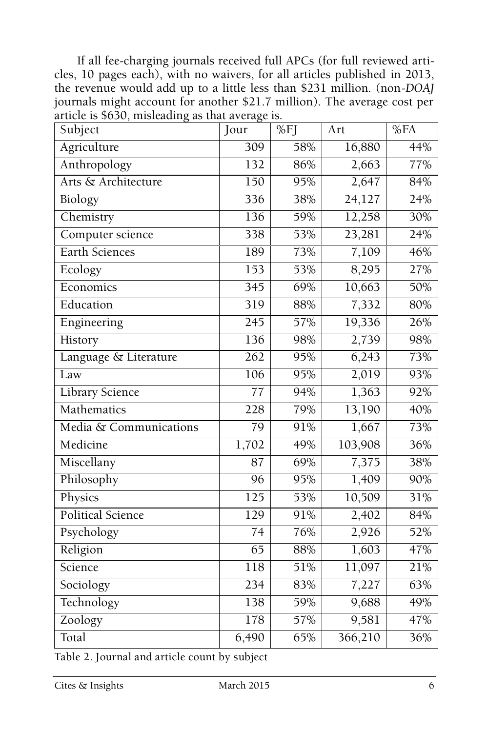If all fee-charging journals received full APCs (for full reviewed articles, 10 pages each), with no waivers, for all articles published in 2013, the revenue would add up to a little less than \$231 million. (non-*DOAJ*  journals might account for another \$21.7 million). The average cost per article is \$630, misleading as that average is.

| Subject                  | Jour             | $\overline{\%}$ FJ | Art               | %FA |
|--------------------------|------------------|--------------------|-------------------|-----|
| Agriculture              | $\overline{309}$ | 58%                | 16,880            | 44% |
| Anthropology             | $\overline{132}$ | 86%                | 2,663             | 77% |
| Arts & Architecture      | $\overline{150}$ | 95%                | 2,647             | 84% |
| <b>Biology</b>           | 336              | 38%                | 24,127            | 24% |
| Chemistry                | 136              | 59%                | 12,258            | 30% |
| Computer science         | 338              | 53%                | 23,281            | 24% |
| Earth Sciences           | 189              | 73%                | $\frac{7,109}{ }$ | 46% |
| Ecology                  | $\overline{153}$ | 53%                | 8,295             | 27% |
| Economics                | $\overline{345}$ | 69%                | 10,663            | 50% |
| Education                | $\overline{319}$ | 88%                | 7,332             | 80% |
| Engineering              | $\overline{245}$ | 57%                | 19,336            | 26% |
| History                  | 136              | 98%                | 2,739             | 98% |
| Language & Literature    | $\overline{262}$ | 95%                | 6,243             | 73% |
| Law                      | 106              | 95%                | 2,019             | 93% |
| <b>Library Science</b>   | $\overline{77}$  | 94%                | 1,363             | 92% |
| Mathematics              | 228              | 79%                | 13,190            | 40% |
| Media & Communications   | $\overline{79}$  | 91%                | 1,667             | 73% |
| Medicine                 | 1,702            | 49%                | 103,908           | 36% |
| Miscellany               | $\overline{87}$  | 69%                | 7,375             | 38% |
| Philosophy               | 96               | 95%                | 1,409             | 90% |
| Physics                  | 125              | 53%                | 10,509            | 31% |
| <b>Political Science</b> | 129              | 91%                | 2,402             | 84% |
| Psychology               | $\overline{74}$  | 76%                | 2,926             | 52% |
| Religion                 | $\overline{65}$  | 88%                | 1,603             | 47% |
| Science                  | 118              | 51%                | 11,097            | 21% |
| Sociology                | 234              | 83%                | 7,227             | 63% |
| Technology               | 138              | 59%                | 9,688             | 49% |
| Zoology                  | 178              | 57%                | 9,581             | 47% |
| Total                    | 6,490            | 65%                | 366,210           | 36% |

Table 2. Journal and article count by subject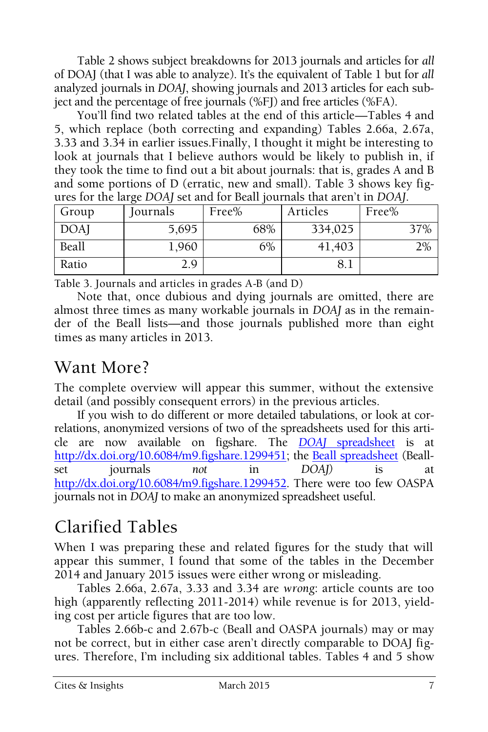Table 2 shows subject breakdowns for 2013 journals and articles for *all*  of DOAJ (that I was able to analyze). It's the equivalent of Table 1 but for *all* analyzed journals in *DOAJ*, showing journals and 2013 articles for each subject and the percentage of free journals (%FJ) and free articles (%FA).

You'll find two related tables at the end of this article—Tables 4 and 5, which replace (both correcting and expanding) Tables 2.66a, 2.67a, 3.33 and 3.34 in earlier issues.Finally, I thought it might be interesting to look at journals that I believe authors would be likely to publish in, if they took the time to find out a bit about journals: that is, grades A and B and some portions of D (erratic, new and small). Table 3 shows key figures for the large *DOAJ* set and for Beall journals that aren't in *DOAJ*.

| Group      | Iournals | Free% | Articles | Free% |
|------------|----------|-------|----------|-------|
| <b>DOA</b> | 5,695    | 68%   | 334,025  | 37%   |
| Beall      | 1,960    | 6%    | 41,403   | 2%    |
| Ratio      | 2.9      |       | 8. I     |       |

Table 3. Journals and articles in grades A-B (and D)

Note that, once dubious and dying journals are omitted, there are almost three times as many workable journals in *DOAJ* as in the remainder of the Beall lists—and those journals published more than eight times as many articles in 2013.

## Want More?

The complete overview will appear this summer, without the extensive detail (and possibly consequent errors) in the previous articles.

If you wish to do different or more detailed tabulations, or look at correlations, anonymized versions of two of the spreadsheets used for this article are now available on figshare. The *DOAJ* [spreadsheet](http://dx.doi.org/10.6084/m9.figshare.1299451) is at [http://dx.doi.org/10.6084/m9.figshare.1299451;](http://dx.doi.org/10.6084/m9.figshare.1299451) the [Beall spreadsheet](http://dx.doi.org/10.6084/m9.figshare.1299452) (Beallset journals *not* in *DOAJ)* is at [http://dx.doi.org/10.6084/m9.figshare.1299452.](http://dx.doi.org/10.6084/m9.figshare.1299452) There were too few OASPA journals not in *DOAJ* to make an anonymized spreadsheet useful.

## Clarified Tables

When I was preparing these and related figures for the study that will appear this summer, I found that some of the tables in the December 2014 and January 2015 issues were either wrong or misleading.

Tables 2.66a, 2.67a, 3.33 and 3.34 are *wrong*: article counts are too high (apparently reflecting 2011-2014) while revenue is for 2013, yielding cost per article figures that are too low.

Tables 2.66b-c and 2.67b-c (Beall and OASPA journals) may or may not be correct, but in either case aren't directly comparable to DOAJ figures. Therefore, I'm including six additional tables. Tables 4 and 5 show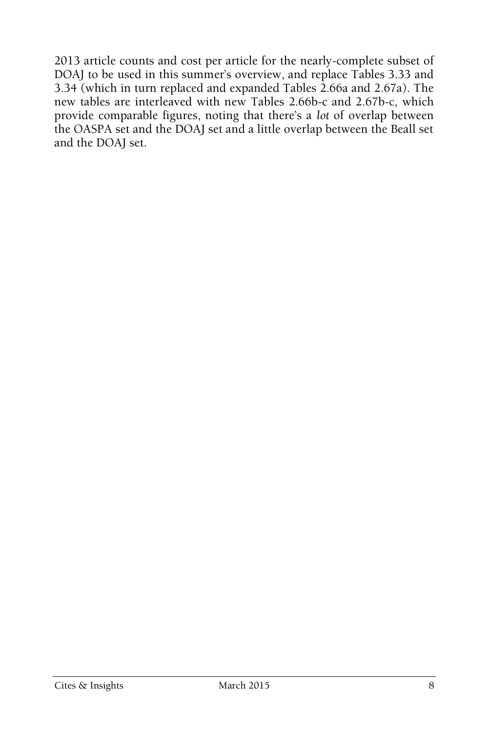2013 article counts and cost per article for the nearly-complete subset of DOAJ to be used in this summer's overview, and replace Tables 3.33 and 3.34 (which in turn replaced and expanded Tables 2.66a and 2.67a). The new tables are interleaved with new Tables 2.66b-c and 2.67b-c, which provide comparable figures, noting that there's a *lot* of overlap between the OASPA set and the DOAJ set and a little overlap between the Beall set and the DOAJ set.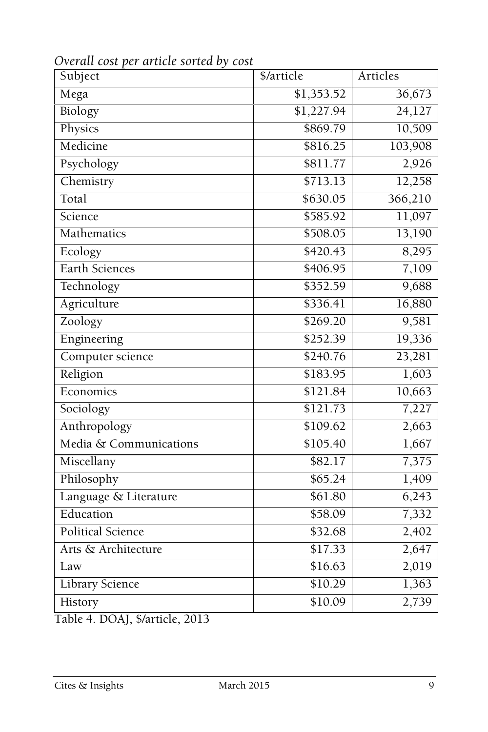| Subject                | \$/article | Articles           |
|------------------------|------------|--------------------|
| Mega                   | \$1,353.52 | 36,673             |
| Biology                | \$1,227.94 | 24,127             |
| Physics                | \$869.79   | 10,509             |
| Medicine               | \$816.25   | 103,908            |
| Psychology             | \$811.77   | 2,926              |
| Chemistry              | \$713.13   | 12,258             |
| Total                  | \$630.05   | 366,210            |
| Science                | \$585.92   | 11,097             |
| Mathematics            | \$508.05   | 13,190             |
| Ecology                | \$420.43   | 8,295              |
| Earth Sciences         | \$406.95   | 7,109              |
| Technology             | \$352.59   | 9,688              |
| Agriculture            | \$336.41   | 16,880             |
| Zoology                | \$269.20   | 9,581              |
| Engineering            | \$252.39   | 19,336             |
| Computer science       | \$240.76   | 23,281             |
| Religion               | \$183.95   | 1,603              |
| Economics              | \$121.84   | 10,663             |
| Sociology              | \$121.73   | 7,227              |
| Anthropology           | \$109.62   | 2,663              |
| Media & Communications | \$105.40   | 1,667              |
| Miscellany             | \$82.17    | 7,375              |
| Philosophy             | \$65.24    | 1,409              |
| Language & Literature  | \$61.80    | 6,243              |
| Education              | \$58.09    | $\overline{7,332}$ |
| Political Science      | \$32.68    | 2,402              |
| Arts & Architecture    | \$17.33    | 2,647              |
| Law                    | \$16.63    | 2,019              |
| <b>Library Science</b> | \$10.29    | 1,363              |
| History                | \$10.09    | 2,739              |

*Overall cost per article sorted by cost*

Table 4. DOAJ, \$/article, 2013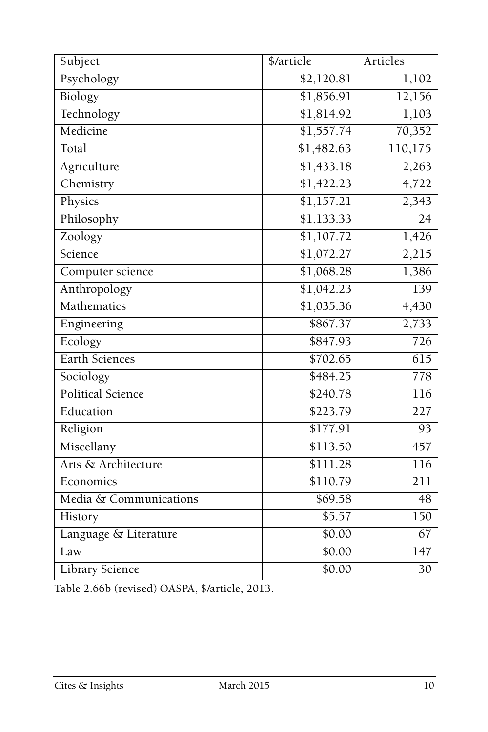| Subject                  | \$/article             | Articles         |
|--------------------------|------------------------|------------------|
| Psychology               | \$2,120.81             | 1,102            |
| Biology                  | \$1,856.91             | 12,156           |
| Technology               | \$1,814.92             | 1,103            |
| Medicine                 | \$1,557.74             | 70,352           |
| Total                    | \$1,482.63             | 110,175          |
| Agriculture              | \$1,433.18             | 2,263            |
| Chemistry                | \$1,422.23             | 4,722            |
| Physics                  | \$1,157.21             | 2,343            |
| Philosophy               | \$1,133.33             | 24               |
| Zoology                  | \$1,107.72             | 1,426            |
| Science                  | $\overline{$1,072.27}$ | 2,215            |
| Computer science         | \$1,068.28             | 1,386            |
| Anthropology             | \$1,042.23             | 139              |
| Mathematics              | \$1,035.36             | 4,430            |
| Engineering              | \$867.37               | 2,733            |
| Ecology                  | \$847.93               | $\overline{726}$ |
| Earth Sciences           | \$702.65               | $\overline{615}$ |
| Sociology                | \$484.25               | 778              |
| <b>Political Science</b> | \$240.78               | 116              |
| Education                | \$223.79               | $\overline{227}$ |
| Religion                 | \$177.91               | $\overline{93}$  |
| Miscellany               | \$113.50               | 457              |
| Arts & Architecture      | \$111.28               | 116              |
| Economics                | \$110.79               | $\overline{211}$ |
| Media & Communications   | \$69.58                | 48               |
| History                  | \$5.57                 | 150              |
| Language & Literature    | \$0.00                 | $\overline{67}$  |
| Law                      | \$0.00                 | $\overline{147}$ |
| <b>Library Science</b>   | \$0.00                 | 30               |

Table 2.66b (revised) OASPA, \$/article, 2013.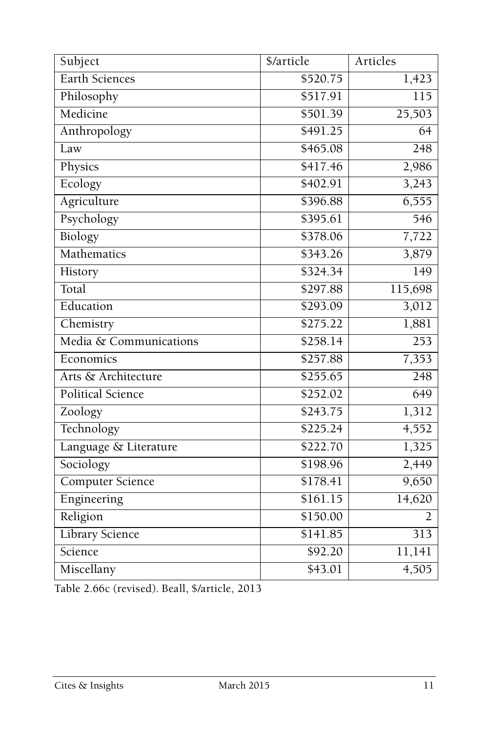| Subject                 | \$/article | Articles         |
|-------------------------|------------|------------------|
| <b>Earth Sciences</b>   | \$520.75   | 1,423            |
| Philosophy              | \$517.91   | $\overline{115}$ |
| Medicine                | \$501.39   | 25,503           |
| Anthropology            | \$491.25   | $\overline{64}$  |
| Law                     | \$465.08   | 248              |
| Physics                 | \$417.46   | 2,986            |
| Ecology                 | \$402.91   | 3,243            |
| Agriculture             | \$396.88   | 6,555            |
| Psychology              | \$395.61   | 546              |
| Biology                 | \$378.06   | 7,722            |
| Mathematics             | \$343.26   | 3,879            |
| History                 | \$324.34   | 149              |
| Total                   | \$297.88   | 115,698          |
| Education               | \$293.09   | 3,012            |
| Chemistry               | \$275.22   | 1,881            |
| Media & Communications  | \$258.14   | $\overline{253}$ |
| Economics               | \$257.88   | 7,353            |
| Arts & Architecture     | \$255.65   | $\frac{1}{248}$  |
| Political Science       | \$252.02   | 649              |
| Zoology                 | \$243.75   | 1,312            |
| Technology              | \$225.24   | 4,552            |
| Language & Literature   | \$222.70   | 1,325            |
| Sociology               | \$198.96   | 2,449            |
| <b>Computer Science</b> | \$178.41   | 9,650            |
| Engineering             | \$161.15   | 14,620           |
| Religion                | \$150.00   | $\overline{2}$   |
| Library Science         | \$141.85   | $\overline{313}$ |
| Science                 | \$92.20    | 11,141           |
| Miscellany              | \$43.01    | 4,505            |

Table 2.66c (revised). Beall, \$/article, 2013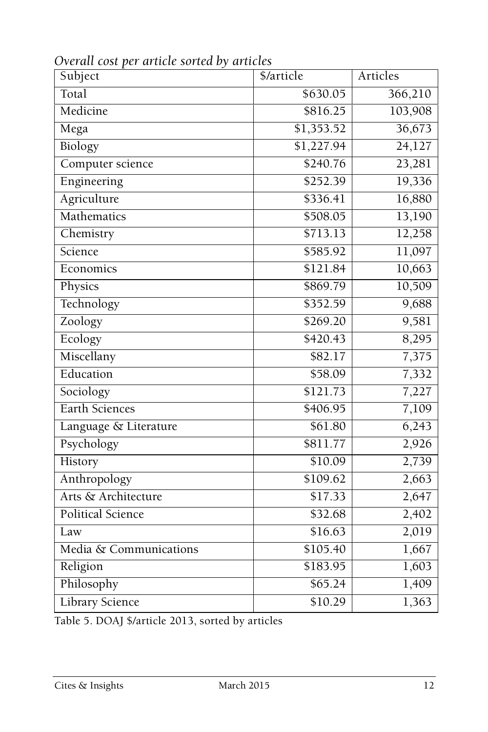| Subject                  | \$/article | Articles |
|--------------------------|------------|----------|
| Total                    | \$630.05   | 366,210  |
| Medicine                 | \$816.25   | 103,908  |
| Mega                     | \$1,353.52 | 36,673   |
| Biology                  | \$1,227.94 | 24,127   |
| Computer science         | \$240.76   | 23,281   |
| Engineering              | \$252.39   | 19,336   |
| Agriculture              | \$336.41   | 16,880   |
| Mathematics              | \$508.05   | 13,190   |
| Chemistry                | \$713.13   | 12,258   |
| Science                  | \$585.92   | 11,097   |
| Economics                | \$121.84   | 10,663   |
| Physics                  | \$869.79   | 10,509   |
| Technology               | \$352.59   | 9,688    |
| Zoology                  | \$269.20   | 9,581    |
| Ecology                  | \$420.43   | 8,295    |
| Miscellany               | \$82.17    | 7,375    |
| Education                | \$58.09    | 7,332    |
| Sociology                | \$121.73   | 7,227    |
| <b>Earth Sciences</b>    | \$406.95   | 7,109    |
| Language & Literature    | \$61.80    | 6,243    |
| Psychology               | \$811.77   | 2,926    |
| History                  | \$10.09    | 2,739    |
| Anthropology             | \$109.62   | 2,663    |
| Arts & Architecture      | \$17.33    | 2,647    |
| <b>Political Science</b> | \$32.68    | 2,402    |
| Law                      | \$16.63    | 2,019    |
| Media & Communications   | \$105.40   | 1,667    |
| Religion                 | \$183.95   | 1,603    |
| Philosophy               | \$65.24    | 1,409    |
| <b>Library Science</b>   | \$10.29    | 1,363    |

*Overall cost per article sorted by articles*

Table 5. DOAJ \$/article 2013, sorted by articles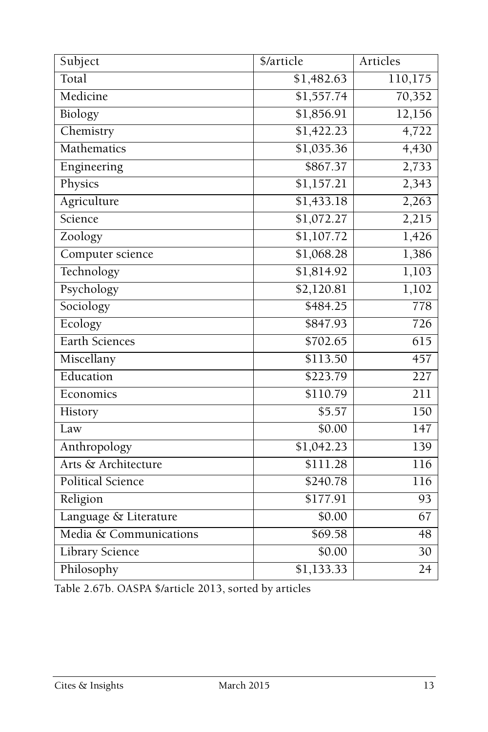| Subject                | \$/article            | Articles         |
|------------------------|-----------------------|------------------|
| Total                  | \$1,482.63            | 110,175          |
| Medicine               | \$1,557.74            | 70,352           |
| Biology                | \$1,856.91            | 12,156           |
| Chemistry              | \$1,422.23            | 4,722            |
| Mathematics            | \$1,035.36            | 4,430            |
| Engineering            | \$867.37              | 2,733            |
| Physics                | \$1,157.21            | 2,343            |
| Agriculture            | $\overline{1,433.18}$ | 2,263            |
| Science                | \$1,072.27            | 2,215            |
| Zoology                | \$1,107.72            | 1,426            |
| Computer science       | \$1,068.28            | 1,386            |
| Technology             | \$1,814.92            | 1,103            |
| Psychology             | \$2,120.81            | 1,102            |
| Sociology              | \$484.25              | 778              |
| Ecology                | \$847.93              | 726              |
| Earth Sciences         | \$702.65              | $\overline{615}$ |
| Miscellany             | \$113.50              | 457              |
| Education              | \$223.79              | 227              |
| Economics              | \$110.79              | 211              |
| History                | \$5.57                | 150              |
| Law                    | \$0.00                | 147              |
| Anthropology           | \$1,042.23            | $\overline{139}$ |
| Arts & Architecture    | \$111.28              | 116              |
| Political Science      | \$240.78              | 116              |
| Religion               | \$177.91              | $\overline{93}$  |
| Language & Literature  | \$0.00                | 67               |
| Media & Communications | \$69.58               | $\overline{48}$  |
| <b>Library Science</b> | \$0.00                | $\overline{30}$  |
| Philosophy             | \$1,133.33            | $\overline{24}$  |

Table 2.67b. OASPA \$/article 2013, sorted by articles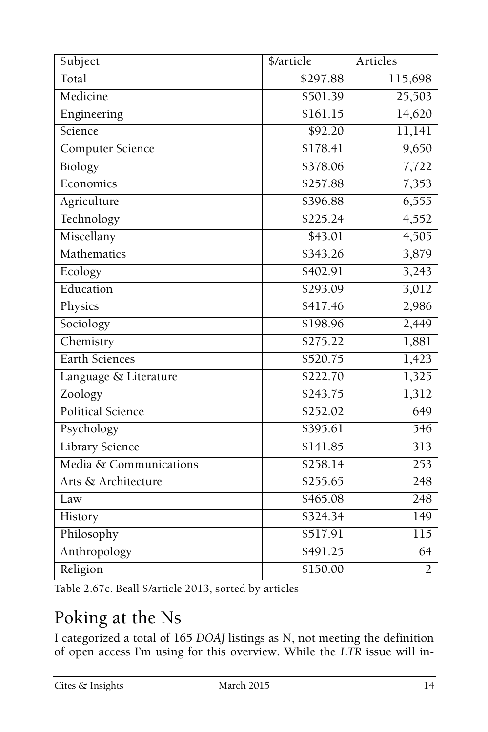| Subject                  | \$/article           | Articles         |
|--------------------------|----------------------|------------------|
| Total                    | \$297.88             | 115,698          |
| Medicine                 | \$501.39             | 25,503           |
| Engineering              | \$161.15             | 14,620           |
| Science                  | \$92.20              | 11,141           |
| <b>Computer Science</b>  | \$178.41             | 9,650            |
| Biology                  | \$378.06             | 7,722            |
| Economics                | \$257.88             | 7,353            |
| Agriculture              | \$396.88             | 6,555            |
| Technology               | \$225.24             | 4,552            |
| Miscellany               | \$43.01              | 4,505            |
| Mathematics              | $\overline{$343.26}$ | 3,879            |
| Ecology                  | \$402.91             | 3,243            |
| Education                | \$293.09             | 3,012            |
| Physics                  | \$417.46             | 2,986            |
| Sociology                | \$198.96             | 2,449            |
| Chemistry                | \$275.22             | 1,881            |
| <b>Earth Sciences</b>    | \$520.75             | 1,423            |
| Language & Literature    | \$222.70             | 1,325            |
| Zoology                  | \$243.75             | 1,312            |
| <b>Political Science</b> | \$252.02             | 649              |
| Psychology               | \$395.61             | $\overline{546}$ |
| <b>Library Science</b>   | \$141.85             | $\overline{313}$ |
| Media & Communications   | \$258.14             | $\overline{253}$ |
| Arts & Architecture      | \$255.65             | $\frac{1}{248}$  |
| Law                      | \$465.08             | 248              |
| History                  | \$324.34             | 149              |
| Philosophy               | \$517.91             | 115              |
| Anthropology             | \$491.25             | 64               |
| Religion                 | \$150.00             | $\overline{2}$   |

Table 2.67c. Beall \$/article 2013, sorted by articles

## Poking at the Ns

I categorized a total of 165 *DOAJ* listings as N, not meeting the definition of open access I'm using for this overview. While the *LTR* issue will in-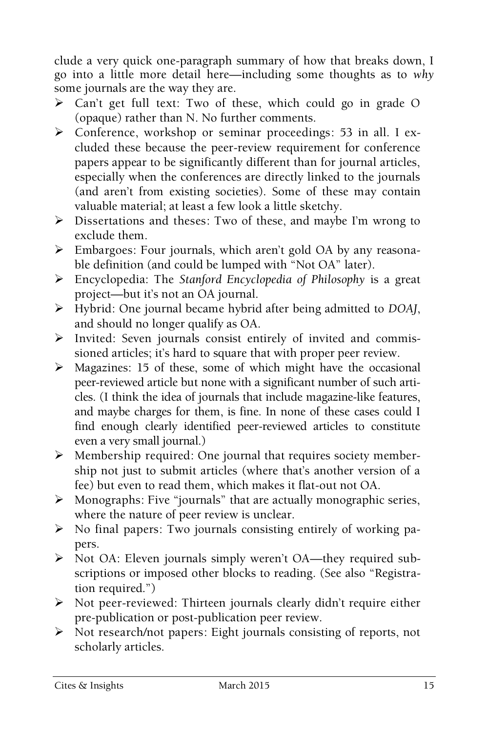clude a very quick one-paragraph summary of how that breaks down, I go into a little more detail here—including some thoughts as to *why*  some journals are the way they are.

- Can't get full text: Two of these, which could go in grade O (opaque) rather than N. No further comments.
- Conference, workshop or seminar proceedings: 53 in all. I excluded these because the peer-review requirement for conference papers appear to be significantly different than for journal articles, especially when the conferences are directly linked to the journals (and aren't from existing societies). Some of these may contain valuable material; at least a few look a little sketchy.
- Dissertations and theses: Two of these, and maybe I'm wrong to exclude them.
- Embargoes: Four journals, which aren't gold OA by any reasonable definition (and could be lumped with "Not OA" later).
- Encyclopedia: The *Stanford Encyclopedia of Philosophy* is a great project—but it's not an OA journal.
- Hybrid: One journal became hybrid after being admitted to *DOAJ*, and should no longer qualify as OA.
- Invited: Seven journals consist entirely of invited and commissioned articles; it's hard to square that with proper peer review.
- $\triangleright$  Magazines: 15 of these, some of which might have the occasional peer-reviewed article but none with a significant number of such articles. (I think the idea of journals that include magazine-like features, and maybe charges for them, is fine. In none of these cases could I find enough clearly identified peer-reviewed articles to constitute even a very small journal.)
- $\triangleright$  Membership required: One journal that requires society membership not just to submit articles (where that's another version of a fee) but even to read them, which makes it flat-out not OA.
- Monographs: Five "journals" that are actually monographic series, where the nature of peer review is unclear.
- $\triangleright$  No final papers: Two journals consisting entirely of working papers.
- ▶ Not OA: Eleven journals simply weren't OA—they required subscriptions or imposed other blocks to reading. (See also "Registration required.")
- Not peer-reviewed: Thirteen journals clearly didn't require either pre-publication or post-publication peer review.
- Not research/not papers: Eight journals consisting of reports, not scholarly articles.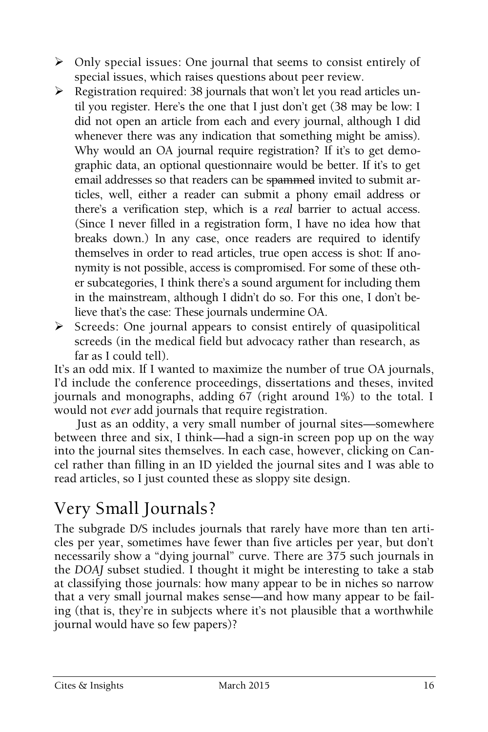- Only special issues: One journal that seems to consist entirely of special issues, which raises questions about peer review.
- Registration required: 38 journals that won't let you read articles until you register. Here's the one that I just don't get (38 may be low: I did not open an article from each and every journal, although I did whenever there was any indication that something might be amiss). Why would an OA journal require registration? If it's to get demographic data, an optional questionnaire would be better. If it's to get email addresses so that readers can be spammed invited to submit articles, well, either a reader can submit a phony email address or there's a verification step, which is a *real* barrier to actual access. (Since I never filled in a registration form, I have no idea how that breaks down.) In any case, once readers are required to identify themselves in order to read articles, true open access is shot: If anonymity is not possible, access is compromised. For some of these other subcategories, I think there's a sound argument for including them in the mainstream, although I didn't do so. For this one, I don't believe that's the case: These journals undermine OA.
- $\triangleright$  Screeds: One journal appears to consist entirely of quasipolitical screeds (in the medical field but advocacy rather than research, as far as I could tell).

It's an odd mix. If I wanted to maximize the number of true OA journals, I'd include the conference proceedings, dissertations and theses, invited journals and monographs, adding 67 (right around 1%) to the total. I would not *ever* add journals that require registration.

Just as an oddity, a very small number of journal sites—somewhere between three and six, I think—had a sign-in screen pop up on the way into the journal sites themselves. In each case, however, clicking on Cancel rather than filling in an ID yielded the journal sites and I was able to read articles, so I just counted these as sloppy site design.

## Very Small Journals?

The subgrade D/S includes journals that rarely have more than ten articles per year, sometimes have fewer than five articles per year, but don't necessarily show a "dying journal" curve. There are 375 such journals in the *DOAJ* subset studied. I thought it might be interesting to take a stab at classifying those journals: how many appear to be in niches so narrow that a very small journal makes sense—and how many appear to be failing (that is, they're in subjects where it's not plausible that a worthwhile journal would have so few papers)?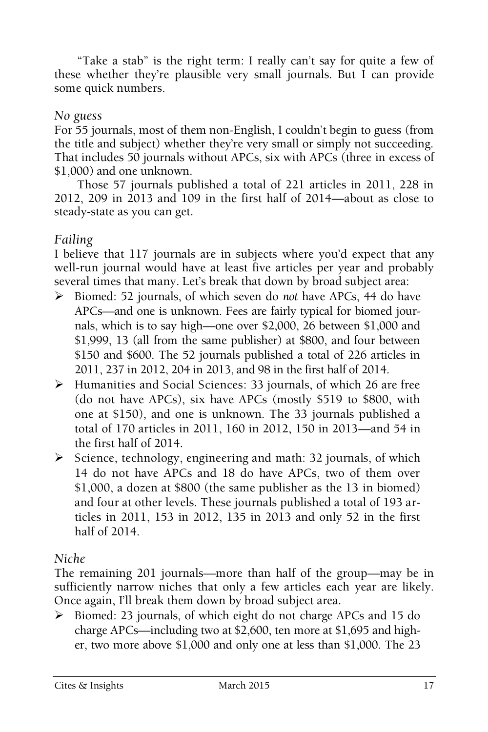"Take a stab" is the right term: I really can't say for quite a few of these whether they're plausible very small journals. But I can provide some quick numbers.

#### *No guess*

For 55 journals, most of them non-English, I couldn't begin to guess (from the title and subject) whether they're very small or simply not succeeding. That includes 50 journals without APCs, six with APCs (three in excess of \$1,000) and one unknown.

Those 57 journals published a total of 221 articles in 2011, 228 in 2012, 209 in 2013 and 109 in the first half of 2014—about as close to steady-state as you can get.

#### *Failing*

I believe that 117 journals are in subjects where you'd expect that any well-run journal would have at least five articles per year and probably several times that many. Let's break that down by broad subject area:

- Biomed: 52 journals, of which seven do *not* have APCs, 44 do have APCs—and one is unknown. Fees are fairly typical for biomed journals, which is to say high—one over \$2,000, 26 between \$1,000 and \$1,999, 13 (all from the same publisher) at \$800, and four between \$150 and \$600. The 52 journals published a total of 226 articles in 2011, 237 in 2012, 204 in 2013, and 98 in the first half of 2014.
- Humanities and Social Sciences: 33 journals, of which 26 are free (do not have APCs), six have APCs (mostly \$519 to \$800, with one at \$150), and one is unknown. The 33 journals published a total of 170 articles in 2011, 160 in 2012, 150 in 2013—and 54 in the first half of 2014.
- $\triangleright$  Science, technology, engineering and math: 32 journals, of which 14 do not have APCs and 18 do have APCs, two of them over \$1,000, a dozen at \$800 (the same publisher as the 13 in biomed) and four at other levels. These journals published a total of 193 articles in 2011, 153 in 2012, 135 in 2013 and only 52 in the first half of 2014.

#### *Niche*

The remaining 201 journals—more than half of the group—may be in sufficiently narrow niches that only a few articles each year are likely. Once again, I'll break them down by broad subject area.

 Biomed: 23 journals, of which eight do not charge APCs and 15 do charge APCs—including two at \$2,600, ten more at \$1,695 and higher, two more above \$1,000 and only one at less than \$1,000. The 23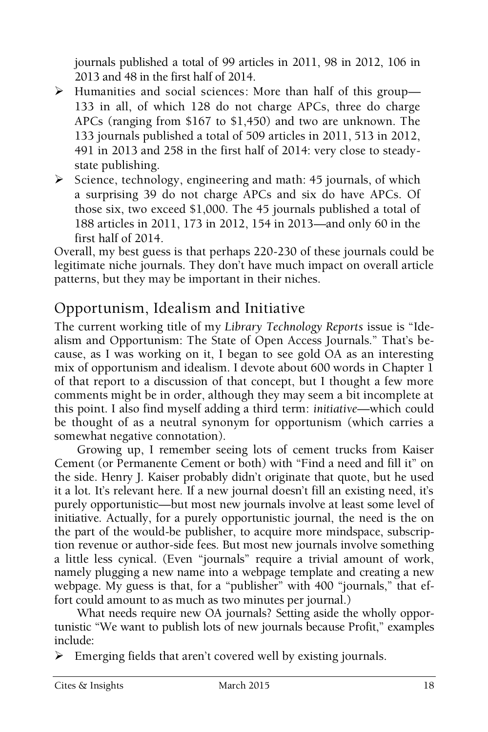journals published a total of 99 articles in 2011, 98 in 2012, 106 in 2013 and 48 in the first half of 2014.

- Humanities and social sciences: More than half of this group— 133 in all, of which 128 do not charge APCs, three do charge APCs (ranging from \$167 to \$1,450) and two are unknown. The 133 journals published a total of 509 articles in 2011, 513 in 2012, 491 in 2013 and 258 in the first half of 2014: very close to steadystate publishing.
- $\triangleright$  Science, technology, engineering and math: 45 journals, of which a surprising 39 do not charge APCs and six do have APCs. Of those six, two exceed \$1,000. The 45 journals published a total of 188 articles in 2011, 173 in 2012, 154 in 2013—and only 60 in the first half of 2014.

Overall, my best guess is that perhaps 220-230 of these journals could be legitimate niche journals. They don't have much impact on overall article patterns, but they may be important in their niches.

### Opportunism, Idealism and Initiative

The current working title of my *Library Technology Reports* issue is "Idealism and Opportunism: The State of Open Access Journals." That's because, as I was working on it, I began to see gold OA as an interesting mix of opportunism and idealism. I devote about 600 words in Chapter 1 of that report to a discussion of that concept, but I thought a few more comments might be in order, although they may seem a bit incomplete at this point. I also find myself adding a third term: *initiative*—which could be thought of as a neutral synonym for opportunism (which carries a somewhat negative connotation).

Growing up, I remember seeing lots of cement trucks from Kaiser Cement (or Permanente Cement or both) with "Find a need and fill it" on the side. Henry J. Kaiser probably didn't originate that quote, but he used it a lot. It's relevant here. If a new journal doesn't fill an existing need, it's purely opportunistic—but most new journals involve at least some level of initiative. Actually, for a purely opportunistic journal, the need is the on the part of the would-be publisher, to acquire more mindspace, subscription revenue or author-side fees. But most new journals involve something a little less cynical. (Even "journals" require a trivial amount of work, namely plugging a new name into a webpage template and creating a new webpage. My guess is that, for a "publisher" with 400 "journals," that effort could amount to as much as two minutes per journal.)

What needs require new OA journals? Setting aside the wholly opportunistic "We want to publish lots of new journals because Profit," examples include:

 $\triangleright$  Emerging fields that aren't covered well by existing journals.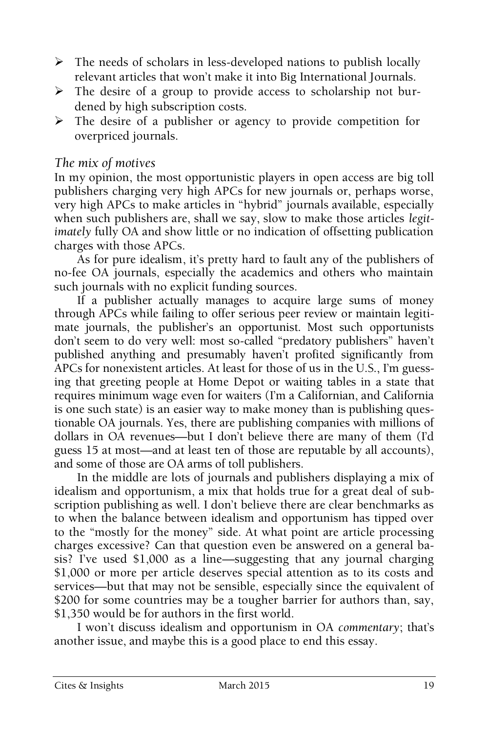- $\triangleright$  The needs of scholars in less-developed nations to publish locally relevant articles that won't make it into Big International Journals.
- $\triangleright$  The desire of a group to provide access to scholarship not burdened by high subscription costs.
- $\triangleright$  The desire of a publisher or agency to provide competition for overpriced journals.

#### *The mix of motives*

In my opinion, the most opportunistic players in open access are big toll publishers charging very high APCs for new journals or, perhaps worse, very high APCs to make articles in "hybrid" journals available, especially when such publishers are, shall we say, slow to make those articles *legitimately* fully OA and show little or no indication of offsetting publication charges with those APCs.

As for pure idealism, it's pretty hard to fault any of the publishers of no-fee OA journals, especially the academics and others who maintain such journals with no explicit funding sources.

If a publisher actually manages to acquire large sums of money through APCs while failing to offer serious peer review or maintain legitimate journals, the publisher's an opportunist. Most such opportunists don't seem to do very well: most so-called "predatory publishers" haven't published anything and presumably haven't profited significantly from APCs for nonexistent articles. At least for those of us in the U.S., I'm guessing that greeting people at Home Depot or waiting tables in a state that requires minimum wage even for waiters (I'm a Californian, and California is one such state) is an easier way to make money than is publishing questionable OA journals. Yes, there are publishing companies with millions of dollars in OA revenues—but I don't believe there are many of them (I'd guess 15 at most—and at least ten of those are reputable by all accounts), and some of those are OA arms of toll publishers.

In the middle are lots of journals and publishers displaying a mix of idealism and opportunism, a mix that holds true for a great deal of subscription publishing as well. I don't believe there are clear benchmarks as to when the balance between idealism and opportunism has tipped over to the "mostly for the money" side. At what point are article processing charges excessive? Can that question even be answered on a general basis? I've used \$1,000 as a line—suggesting that any journal charging \$1,000 or more per article deserves special attention as to its costs and services—but that may not be sensible, especially since the equivalent of \$200 for some countries may be a tougher barrier for authors than, say, \$1,350 would be for authors in the first world.

I won't discuss idealism and opportunism in OA *commentary*; that's another issue, and maybe this is a good place to end this essay.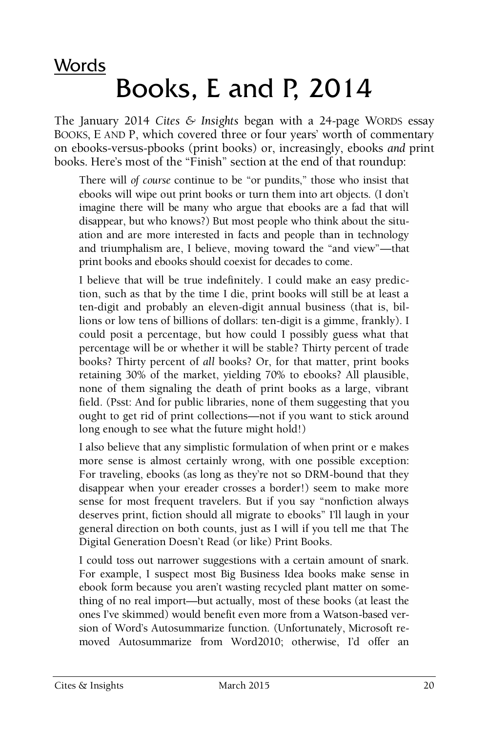## Words Books, E and P, 2014

The January 2014 *Cites & Insights* began with a 24-page WORDS essay BOOKS, E AND P, which covered three or four years' worth of commentary on ebooks-versus-pbooks (print books) or, increasingly, ebooks *and* print books. Here's most of the "Finish" section at the end of that roundup:

There will *of course* continue to be "or pundits," those who insist that ebooks will wipe out print books or turn them into art objects. (I don't imagine there will be many who argue that ebooks are a fad that will disappear, but who knows?) But most people who think about the situation and are more interested in facts and people than in technology and triumphalism are, I believe, moving toward the "and view"—that print books and ebooks should coexist for decades to come.

I believe that will be true indefinitely. I could make an easy prediction, such as that by the time I die, print books will still be at least a ten-digit and probably an eleven-digit annual business (that is, billions or low tens of billions of dollars: ten-digit is a gimme, frankly). I could posit a percentage, but how could I possibly guess what that percentage will be or whether it will be stable? Thirty percent of trade books? Thirty percent of *all* books? Or, for that matter, print books retaining 30% of the market, yielding 70% to ebooks? All plausible, none of them signaling the death of print books as a large, vibrant field. (Psst: And for public libraries, none of them suggesting that you ought to get rid of print collections—not if you want to stick around long enough to see what the future might hold!)

I also believe that any simplistic formulation of when print or e makes more sense is almost certainly wrong, with one possible exception: For traveling, ebooks (as long as they're not so DRM-bound that they disappear when your ereader crosses a border!) seem to make more sense for most frequent travelers. But if you say "nonfiction always deserves print, fiction should all migrate to ebooks" I'll laugh in your general direction on both counts, just as I will if you tell me that The Digital Generation Doesn't Read (or like) Print Books.

I could toss out narrower suggestions with a certain amount of snark. For example, I suspect most Big Business Idea books make sense in ebook form because you aren't wasting recycled plant matter on something of no real import—but actually, most of these books (at least the ones I've skimmed) would benefit even more from a Watson-based version of Word's Autosummarize function. (Unfortunately, Microsoft removed Autosummarize from Word2010; otherwise, I'd offer an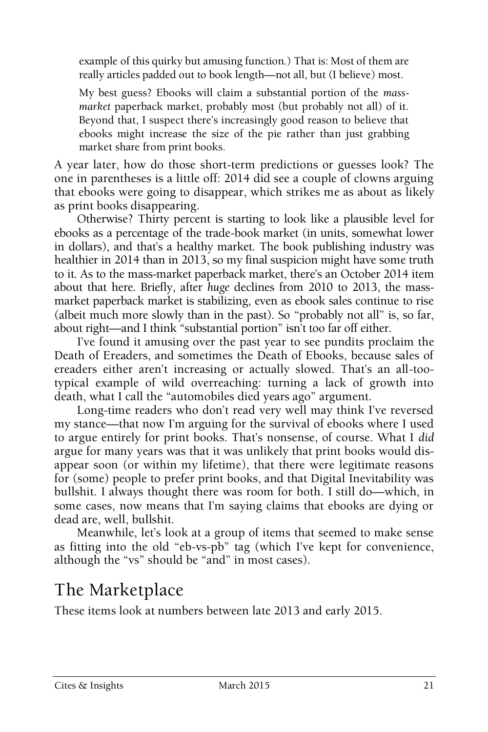example of this quirky but amusing function.) That is: Most of them are really articles padded out to book length—not all, but (I believe) most.

My best guess? Ebooks will claim a substantial portion of the *massmarket* paperback market, probably most (but probably not all) of it. Beyond that, I suspect there's increasingly good reason to believe that ebooks might increase the size of the pie rather than just grabbing market share from print books.

A year later, how do those short-term predictions or guesses look? The one in parentheses is a little off: 2014 did see a couple of clowns arguing that ebooks were going to disappear, which strikes me as about as likely as print books disappearing.

Otherwise? Thirty percent is starting to look like a plausible level for ebooks as a percentage of the trade-book market (in units, somewhat lower in dollars), and that's a healthy market. The book publishing industry was healthier in 2014 than in 2013, so my final suspicion might have some truth to it. As to the mass-market paperback market, there's an October 2014 item about that here. Briefly, after *huge* declines from 2010 to 2013, the massmarket paperback market is stabilizing, even as ebook sales continue to rise (albeit much more slowly than in the past). So "probably not all" is, so far, about right—and I think "substantial portion" isn't too far off either.

I've found it amusing over the past year to see pundits proclaim the Death of Ereaders, and sometimes the Death of Ebooks, because sales of ereaders either aren't increasing or actually slowed. That's an all-tootypical example of wild overreaching: turning a lack of growth into death, what I call the "automobiles died years ago" argument.

Long-time readers who don't read very well may think I've reversed my stance—that now I'm arguing for the survival of ebooks where I used to argue entirely for print books. That's nonsense, of course. What I *did*  argue for many years was that it was unlikely that print books would disappear soon (or within my lifetime), that there were legitimate reasons for (some) people to prefer print books, and that Digital Inevitability was bullshit. I always thought there was room for both. I still do—which, in some cases, now means that I'm saying claims that ebooks are dying or dead are, well, bullshit.

Meanwhile, let's look at a group of items that seemed to make sense as fitting into the old "eb-vs-pb" tag (which I've kept for convenience, although the "vs" should be "and" in most cases).

## The Marketplace

These items look at numbers between late 2013 and early 2015.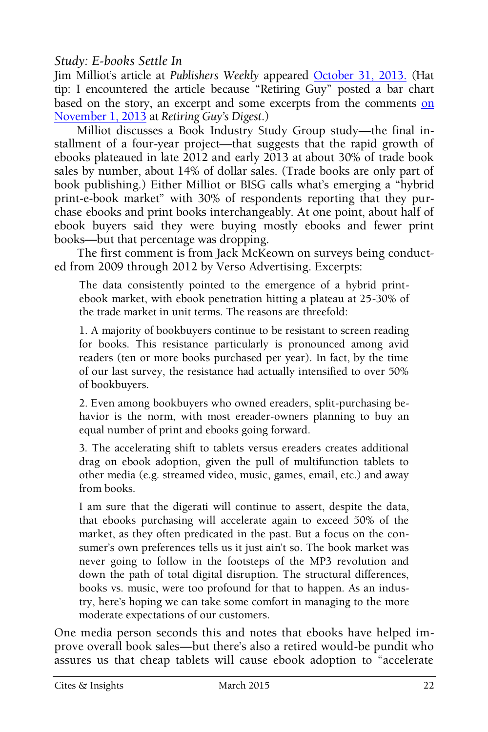#### *Study: E-books Settle In*

Jim Milliot's article at *Publishers Weekly* appeared [October 31, 2013.](http://www.publishersweekly.com/pw/by-topic/digital/content-and-e-books/article/59791-study-e-books-settle-in-as-another-book-format.html) (Hat tip: I encountered the article because "Retiring Guy" posted a bar chart based [on](http://paulsnewsline.blogspot.com/2013/11/other-ebook-market-trendspotting.html) the story, an excerpt and some excerpts from the comments on [November 1, 2013](http://paulsnewsline.blogspot.com/2013/11/other-ebook-market-trendspotting.html) at *Retiring Guy's Digest*.)

Milliot discusses a Book Industry Study Group study—the final installment of a four-year project—that suggests that the rapid growth of ebooks plateaued in late 2012 and early 2013 at about 30% of trade book sales by number, about 14% of dollar sales. (Trade books are only part of book publishing.) Either Milliot or BISG calls what's emerging a "hybrid print-e-book market" with 30% of respondents reporting that they purchase ebooks and print books interchangeably. At one point, about half of ebook buyers said they were buying mostly ebooks and fewer print books—but that percentage was dropping.

The first comment is from Jack McKeown on surveys being conducted from 2009 through 2012 by Verso Advertising. Excerpts:

The data consistently pointed to the emergence of a hybrid printebook market, with ebook penetration hitting a plateau at 25-30% of the trade market in unit terms. The reasons are threefold:

1. A majority of bookbuyers continue to be resistant to screen reading for books. This resistance particularly is pronounced among avid readers (ten or more books purchased per year). In fact, by the time of our last survey, the resistance had actually intensified to over 50% of bookbuyers.

2. Even among bookbuyers who owned ereaders, split-purchasing behavior is the norm, with most ereader-owners planning to buy an equal number of print and ebooks going forward.

3. The accelerating shift to tablets versus ereaders creates additional drag on ebook adoption, given the pull of multifunction tablets to other media (e.g. streamed video, music, games, email, etc.) and away from books.

I am sure that the digerati will continue to assert, despite the data, that ebooks purchasing will accelerate again to exceed 50% of the market, as they often predicated in the past. But a focus on the consumer's own preferences tells us it just ain't so. The book market was never going to follow in the footsteps of the MP3 revolution and down the path of total digital disruption. The structural differences, books vs. music, were too profound for that to happen. As an industry, here's hoping we can take some comfort in managing to the more moderate expectations of our customers.

One media person seconds this and notes that ebooks have helped improve overall book sales—but there's also a retired would-be pundit who assures us that cheap tablets will cause ebook adoption to "accelerate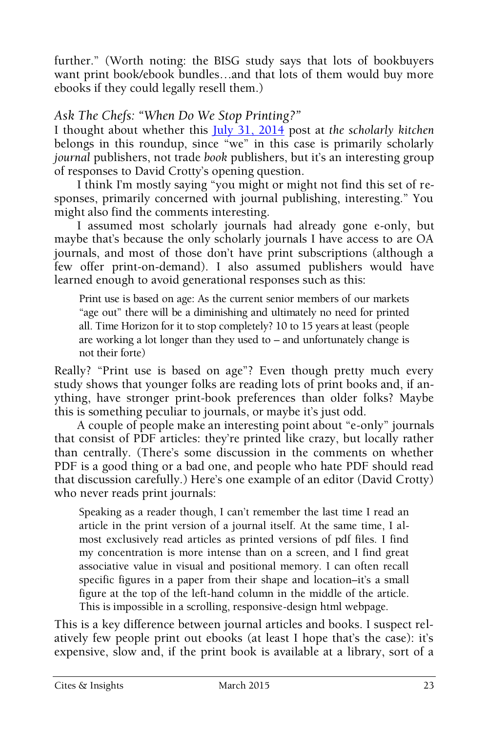further." (Worth noting: the BISG study says that lots of bookbuyers want print book/ebook bundles…and that lots of them would buy more ebooks if they could legally resell them.)

#### *Ask The Chefs: "When Do We Stop Printing?"*

I thought about whether this [July 31, 2014](http://scholarlykitchen.sspnet.org/2014/07/31/ask-the-chefs-when-do-we-stop-printing/) post at *the scholarly kitchen*  belongs in this roundup, since "we" in this case is primarily scholarly *journal* publishers, not trade *book* publishers, but it's an interesting group of responses to David Crotty's opening question.

I think I'm mostly saying "you might or might not find this set of responses, primarily concerned with journal publishing, interesting." You might also find the comments interesting.

I assumed most scholarly journals had already gone e-only, but maybe that's because the only scholarly journals I have access to are OA journals, and most of those don't have print subscriptions (although a few offer print-on-demand). I also assumed publishers would have learned enough to avoid generational responses such as this:

Print use is based on age: As the current senior members of our markets "age out" there will be a diminishing and ultimately no need for printed all. Time Horizon for it to stop completely? 10 to 15 years at least (people are working a lot longer than they used to – and unfortunately change is not their forte)

Really? "Print use is based on age"? Even though pretty much every study shows that younger folks are reading lots of print books and, if anything, have stronger print-book preferences than older folks? Maybe this is something peculiar to journals, or maybe it's just odd.

A couple of people make an interesting point about "e-only" journals that consist of PDF articles: they're printed like crazy, but locally rather than centrally. (There's some discussion in the comments on whether PDF is a good thing or a bad one, and people who hate PDF should read that discussion carefully.) Here's one example of an editor (David Crotty) who never reads print journals:

Speaking as a reader though, I can't remember the last time I read an article in the print version of a journal itself. At the same time, I almost exclusively read articles as printed versions of pdf files. I find my concentration is more intense than on a screen, and I find great associative value in visual and positional memory. I can often recall specific figures in a paper from their shape and location–it's a small figure at the top of the left-hand column in the middle of the article. This is impossible in a scrolling, responsive-design html webpage.

This is a key difference between journal articles and books. I suspect relatively few people print out ebooks (at least I hope that's the case): it's expensive, slow and, if the print book is available at a library, sort of a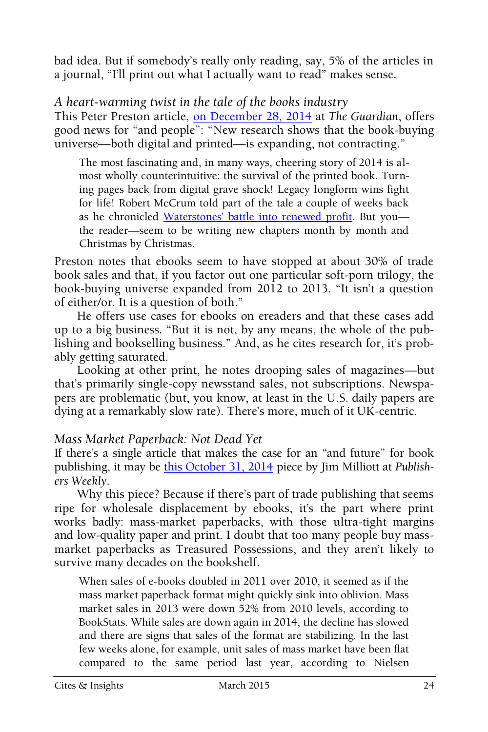bad idea. But if somebody's really only reading, say, 5% of the articles in a journal, "I'll print out what I actually want to read" makes sense.

*A heart-warming twist in the tale of the books industry*

This Peter Preston article, [on December 28, 2014](http://www.theguardian.com/books/2014/dec/28/twist-in-tale-of-the-books-industry-expansion-ebooks) at *The Guardian*, offers good news for "and people": "New research shows that the book-buying universe—both digital and printed—is expanding, not contracting."

The most fascinating and, in many ways, cheering story of 2014 is almost wholly counterintuitive: the survival of the printed book. Turning pages back from digital grave shock! Legacy longform wins fight for life! Robert McCrum told part of the tale a couple of weeks back as he chronicled Waterstones' [battle into renewed profit.](http://www.theguardian.com/books/2014/dec/14/book-revival-james-daunt-waterstones) But you the reader—seem to be writing new chapters month by month and Christmas by Christmas.

Preston notes that ebooks seem to have stopped at about 30% of trade book sales and that, if you factor out one particular soft-porn trilogy, the book-buying universe expanded from 2012 to 2013. "It isn't a question of either/or. It is a question of both."

He offers use cases for ebooks on ereaders and that these cases add up to a big business. "But it is not, by any means, the whole of the publishing and bookselling business." And, as he cites research for, it's probably getting saturated.

Looking at other print, he notes drooping sales of magazines—but that's primarily single-copy newsstand sales, not subscriptions. Newspapers are problematic (but, you know, at least in the U.S. daily papers are dying at a remarkably slow rate). There's more, much of it UK-centric.

#### *Mass Market Paperback: Not Dead Yet*

If there's a single article that makes the case for an "and future" for book publishing, it may be [this October 31, 2014](http://www.publishersweekly.com/pw/by-topic/industry-news/bookselling/article/64595-mass-market-paperback-not-dead-yet.html) piece by Jim Milliott at *Publishers Weekly*.

Why this piece? Because if there's part of trade publishing that seems ripe for wholesale displacement by ebooks, it's the part where print works badly: mass-market paperbacks, with those ultra-tight margins and low-quality paper and print. I doubt that too many people buy massmarket paperbacks as Treasured Possessions, and they aren't likely to survive many decades on the bookshelf.

When sales of e-books doubled in 2011 over 2010, it seemed as if the mass market paperback format might quickly sink into oblivion. Mass market sales in 2013 were down 52% from 2010 levels, according to BookStats. While sales are down again in 2014, the decline has slowed and there are signs that sales of the format are stabilizing. In the last few weeks alone, for example, unit sales of mass market have been flat compared to the same period last year, according to Nielsen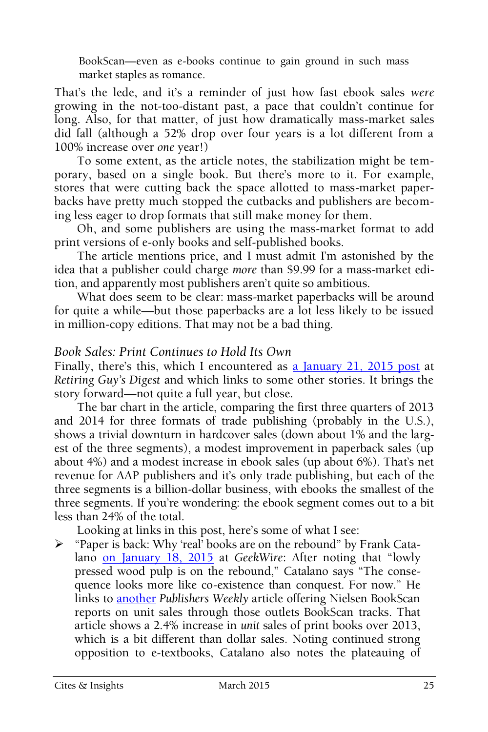BookScan—even as e-books continue to gain ground in such mass market staples as romance.

That's the lede, and it's a reminder of just how fast ebook sales *were*  growing in the not-too-distant past, a pace that couldn't continue for long. Also, for that matter, of just how dramatically mass-market sales did fall (although a 52% drop over four years is a lot different from a 100% increase over *one* year!)

To some extent, as the article notes, the stabilization might be temporary, based on a single book. But there's more to it. For example, stores that were cutting back the space allotted to mass-market paperbacks have pretty much stopped the cutbacks and publishers are becoming less eager to drop formats that still make money for them.

Oh, and some publishers are using the mass-market format to add print versions of e-only books and self-published books.

The article mentions price, and I must admit I'm astonished by the idea that a publisher could charge *more* than \$9.99 for a mass-market edition, and apparently most publishers aren't quite so ambitious.

What does seem to be clear: mass-market paperbacks will be around for quite a while—but those paperbacks are a lot less likely to be issued in million-copy editions. That may not be a bad thing.

#### *Book Sales: Print Continues to Hold Its Own*

Finally, there's this, which I encountered as [a January 21, 2015 post](http://paulsnewsline.blogspot.com/2015/01/book-sales-print-continues-to-hold-its.html) at *Retiring Guy's Digest* and which links to some other stories. It brings the story forward—not quite a full year, but close.

The bar chart in the article, comparing the first three quarters of 2013 and 2014 for three formats of trade publishing (probably in the U.S.), shows a trivial downturn in hardcover sales (down about 1% and the largest of the three segments), a modest improvement in paperback sales (up about 4%) and a modest increase in ebook sales (up about 6%). That's net revenue for AAP publishers and it's only trade publishing, but each of the three segments is a billion-dollar business, with ebooks the smallest of the three segments. If you're wondering: the ebook segment comes out to a bit less than 24% of the total.

Looking at links in this post, here's some of what I see:

 $\triangleright$  "Paper is back: Why 'real' books are on the rebound" by Frank Catalano [on January 18, 2015](http://www.geekwire.com/2015/paper-back-real-books-rebound/) at *GeekWire*: After noting that "lowly pressed wood pulp is on the rebound," Catalano says "The consequence looks more like co-existence than conquest. For now." He links to [another](http://www.publishersweekly.com/pw/by-topic/industry-news/bookselling/article/65172-print-is-back.html) *Publishers Weekly* article offering Nielsen BookScan reports on unit sales through those outlets BookScan tracks. That article shows a 2.4% increase in *unit* sales of print books over 2013, which is a bit different than dollar sales. Noting continued strong opposition to e-textbooks, Catalano also notes the plateauing of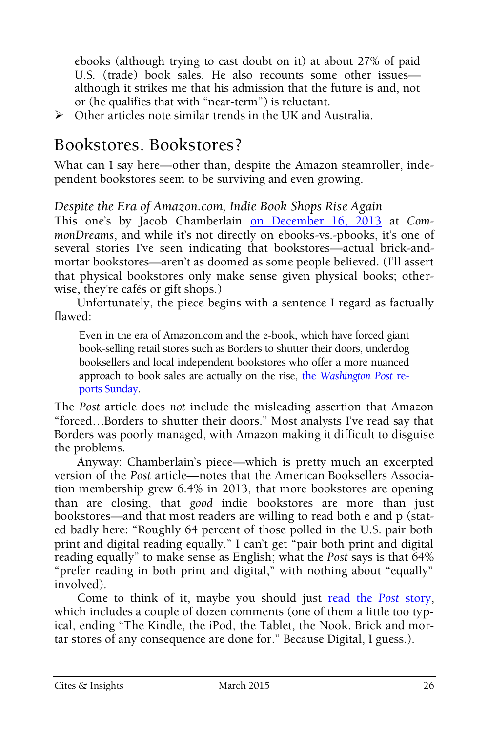ebooks (although trying to cast doubt on it) at about 27% of paid U.S. (trade) book sales. He also recounts some other issues although it strikes me that his admission that the future is and, not or (he qualifies that with "near-term") is reluctant.

 $\triangleright$  Other articles note similar trends in the UK and Australia.

## Bookstores. Bookstores?

What can I say here—other than, despite the Amazon steamroller, independent bookstores seem to be surviving and even growing.

*Despite the Era of Amazon.com, Indie Book Shops Rise Again*

This one's by Jacob Chamberlain [on December 16, 2013](http://www.commondreams.org/news/2013/12/16/despite-era-amazoncom-indie-book-shops-rise-again) at *CommonDreams*, and while it's not directly on ebooks-vs.-pbooks, it's one of several stories I've seen indicating that bookstores—actual brick-andmortar bookstores—aren't as doomed as some people believed. (I'll assert that physical bookstores only make sense given physical books; otherwise, they're cafés or gift shops.)

Unfortunately, the piece begins with a sentence I regard as factually flawed:

Even in the era of Amazon.com and the e-book, which have forced giant book-selling retail stores such as Borders to shutter their doors, underdog booksellers and local independent bookstores who offer a more nuanced approach to book sales are actually on the rise, the *[Washington Post](http://www.washingtonpost.com/local/independent-bookstores-turn-a-new-page-on-brick-and-mortar-retailing/2013/12/15/2ed615d8-636a-11e3-aa81-e1dab1360323_story.html)* re[ports Sunday.](http://www.washingtonpost.com/local/independent-bookstores-turn-a-new-page-on-brick-and-mortar-retailing/2013/12/15/2ed615d8-636a-11e3-aa81-e1dab1360323_story.html)

The *Post* article does *not* include the misleading assertion that Amazon "forced…Borders to shutter their doors." Most analysts I've read say that Borders was poorly managed, with Amazon making it difficult to disguise the problems.

Anyway: Chamberlain's piece—which is pretty much an excerpted version of the *Post* article—notes that the American Booksellers Association membership grew 6.4% in 2013, that more bookstores are opening than are closing, that *good* indie bookstores are more than just bookstores—and that most readers are willing to read both e and p (stated badly here: "Roughly 64 percent of those polled in the U.S. pair both print and digital reading equally." I can't get "pair both print and digital reading equally" to make sense as English; what the *Post* says is that 64% "prefer reading in both print and digital," with nothing about "equally" involved).

Come to think of it, maybe you should just [read the](http://www.washingtonpost.com/local/independent-bookstores-turn-a-new-page-on-brick-and-mortar-retailing/2013/12/15/2ed615d8-636a-11e3-aa81-e1dab1360323_story.html) Post story, which includes a couple of dozen comments (one of them a little too typical, ending "The Kindle, the iPod, the Tablet, the Nook. Brick and mortar stores of any consequence are done for." Because Digital, I guess.).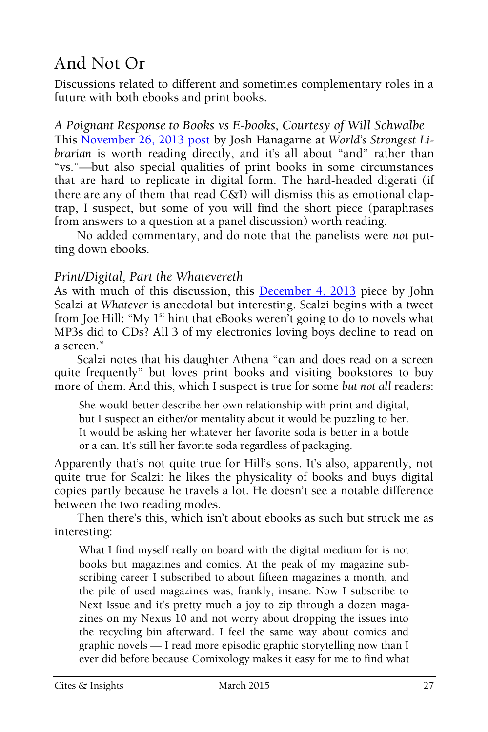## And Not Or

Discussions related to different and sometimes complementary roles in a future with both ebooks and print books.

*A Poignant Response to Books vs E-books, Courtesy of Will Schwalbe* This [November 26, 2013 post](http://worldsstrongestlibrarian.com/14819/a-poignant-response-to-books-vs-e-books/) by Josh Hanagarne at *World's Strongest Librarian* is worth reading directly, and it's all about "and" rather than "vs."—but also special qualities of print books in some circumstances that are hard to replicate in digital form. The hard-headed digerati (if there are any of them that read C&I) will dismiss this as emotional claptrap, I suspect, but some of you will find the short piece (paraphrases from answers to a question at a panel discussion) worth reading.

No added commentary, and do note that the panelists were *not* putting down ebooks.

#### *Print/Digital, Part the Whatevereth*

As with much of this discussion, this [December 4, 2013](http://whatever.scalzi.com/2013/12/04/printdigital-part-the-whatevereth/) piece by John Scalzi at *Whatever* is anecdotal but interesting. Scalzi begins with a tweet from Joe Hill: "My  $1<sup>st</sup>$  hint that eBooks weren't going to do to novels what MP3s did to CDs? All 3 of my electronics loving boys decline to read on a screen."

Scalzi notes that his daughter Athena "can and does read on a screen quite frequently" but loves print books and visiting bookstores to buy more of them. And this, which I suspect is true for some *but not all* readers:

She would better describe her own relationship with print and digital, but I suspect an either/or mentality about it would be puzzling to her. It would be asking her whatever her favorite soda is better in a bottle or a can. It's still her favorite soda regardless of packaging.

Apparently that's not quite true for Hill's sons. It's also, apparently, not quite true for Scalzi: he likes the physicality of books and buys digital copies partly because he travels a lot. He doesn't see a notable difference between the two reading modes.

Then there's this, which isn't about ebooks as such but struck me as interesting:

What I find myself really on board with the digital medium for is not books but magazines and comics. At the peak of my magazine subscribing career I subscribed to about fifteen magazines a month, and the pile of used magazines was, frankly, insane. Now I subscribe to Next Issue and it's pretty much a joy to zip through a dozen magazines on my Nexus 10 and not worry about dropping the issues into the recycling bin afterward. I feel the same way about comics and graphic novels — I read more episodic graphic storytelling now than I ever did before because Comixology makes it easy for me to find what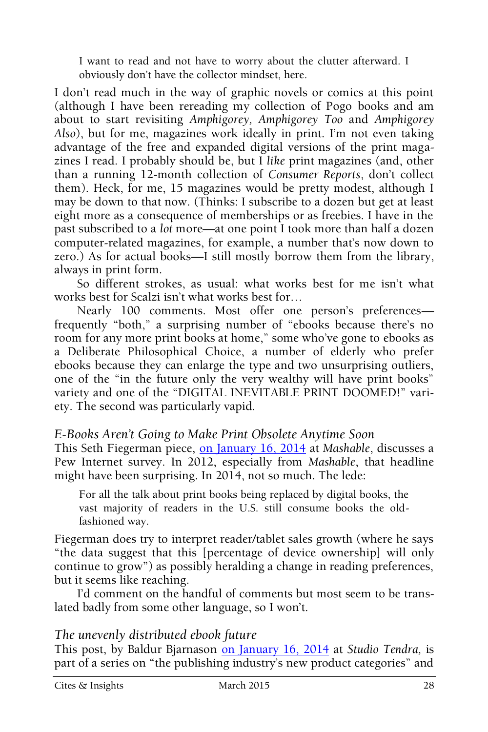I want to read and not have to worry about the clutter afterward. I obviously don't have the collector mindset, here.

I don't read much in the way of graphic novels or comics at this point (although I have been rereading my collection of Pogo books and am about to start revisiting *Amphigorey, Amphigorey Too* and *Amphigorey Also*), but for me, magazines work ideally in print. I'm not even taking advantage of the free and expanded digital versions of the print magazines I read. I probably should be, but I *like* print magazines (and, other than a running 12-month collection of *Consumer Reports*, don't collect them). Heck, for me, 15 magazines would be pretty modest, although I may be down to that now. (Thinks: I subscribe to a dozen but get at least eight more as a consequence of memberships or as freebies. I have in the past subscribed to a *lot* more—at one point I took more than half a dozen computer-related magazines, for example, a number that's now down to zero.) As for actual books—I still mostly borrow them from the library, always in print form.

So different strokes, as usual: what works best for me isn't what works best for Scalzi isn't what works best for…

Nearly 100 comments. Most offer one person's preferences frequently "both," a surprising number of "ebooks because there's no room for any more print books at home," some who've gone to ebooks as a Deliberate Philosophical Choice, a number of elderly who prefer ebooks because they can enlarge the type and two unsurprising outliers, one of the "in the future only the very wealthy will have print books" variety and one of the "DIGITAL INEVITABLE PRINT DOOMED!" variety. The second was particularly vapid.

#### *E-Books Aren't Going to Make Print Obsolete Anytime Soon*

This Seth Fiegerman piece, [on January 16, 2014](http://mashable.com/2014/01/16/e-books-study-pew/) at *Mashable*, discusses a Pew Internet survey. In 2012, especially from *Mashable*, that headline might have been surprising. In 2014, not so much. The lede:

For all the talk about print books being replaced by digital books, the vast majority of readers in the U.S. still consume books the oldfashioned way.

Fiegerman does try to interpret reader/tablet sales growth (where he says "the data suggest that this [percentage of device ownership] will only continue to grow") as possibly heralding a change in reading preferences, but it seems like reaching.

I'd comment on the handful of comments but most seem to be translated badly from some other language, so I won't.

#### *The unevenly distributed ebook future*

This post, by Baldur Bjarnason [on January 16, 2014](http://studiotendra.com/2014/01/16/the-unevenly-distributed-ebook-future/) at *Studio Tendra,* is part of a series on "the publishing industry's new product categories" and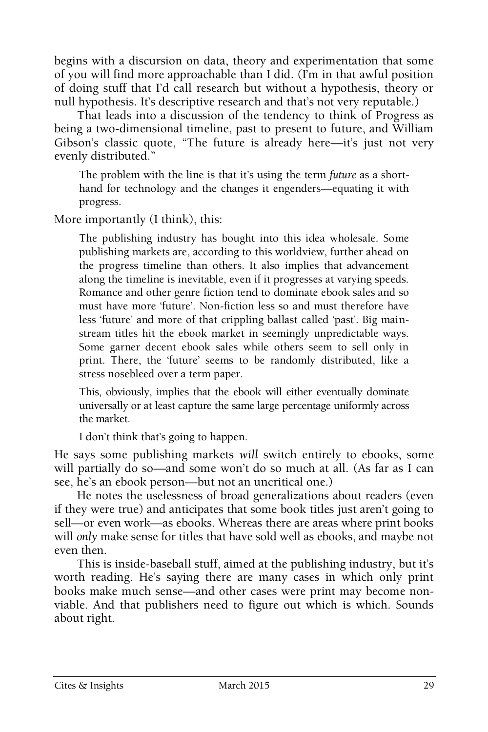begins with a discursion on data, theory and experimentation that some of you will find more approachable than I did. (I'm in that awful position of doing stuff that I'd call research but without a hypothesis, theory or null hypothesis. It's descriptive research and that's not very reputable.)

That leads into a discussion of the tendency to think of Progress as being a two-dimensional timeline, past to present to future, and William Gibson's classic quote, "The future is already here—it's just not very evenly distributed."

The problem with the line is that it's using the term *future* as a shorthand for technology and the changes it engenders—equating it with progress.

More importantly (I think), this:

The publishing industry has bought into this idea wholesale. Some publishing markets are, according to this worldview, further ahead on the progress timeline than others. It also implies that advancement along the timeline is inevitable, even if it progresses at varying speeds. Romance and other genre fiction tend to dominate ebook sales and so must have more 'future'. Non-fiction less so and must therefore have less 'future' and more of that crippling ballast called 'past'. Big mainstream titles hit the ebook market in seemingly unpredictable ways. Some garner decent ebook sales while others seem to sell only in print. There, the 'future' seems to be randomly distributed, like a stress nosebleed over a term paper.

This, obviously, implies that the ebook will either eventually dominate universally or at least capture the same large percentage uniformly across the market.

I don't think that's going to happen.

He says some publishing markets *will* switch entirely to ebooks, some will partially do so—and some won't do so much at all. (As far as I can see, he's an ebook person—but not an uncritical one.)

He notes the uselessness of broad generalizations about readers (even if they were true) and anticipates that some book titles just aren't going to sell—or even work—as ebooks. Whereas there are areas where print books will *only* make sense for titles that have sold well as ebooks, and maybe not even then.

This is inside-baseball stuff, aimed at the publishing industry, but it's worth reading. He's saying there are many cases in which only print books make much sense—and other cases were print may become nonviable. And that publishers need to figure out which is which. Sounds about right.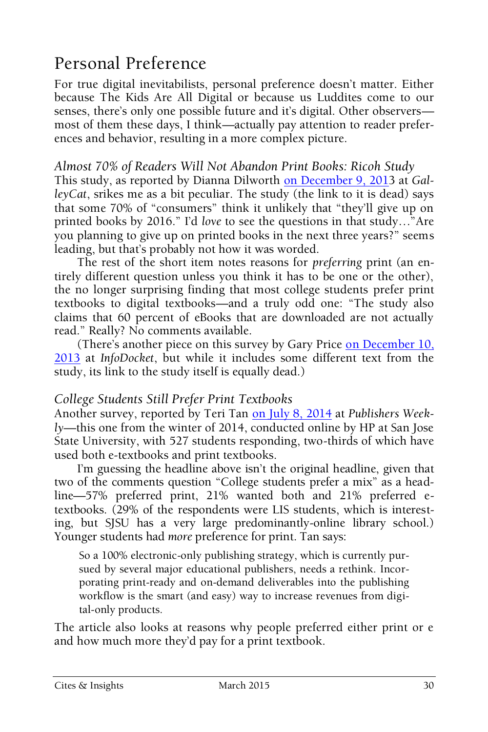## Personal Preference

For true digital inevitabilists, personal preference doesn't matter. Either because The Kids Are All Digital or because us Luddites come to our senses, there's only one possible future and it's digital. Other observers most of them these days, I think—actually pay attention to reader preferences and behavior, resulting in a more complex picture.

#### *Almost 70% of Readers Will Not Abandon Print Books: Ricoh Study*

This study, as reported by Dianna Dilworth [on December 9, 2013](http://www.adweek.com/galleycat/70-of-readers-will-not-abandon-print-books-ricoh-study/81660?red=as) at *GalleyCat*, srikes me as a bit peculiar. The study (the link to it is dead) says that some 70% of "consumers" think it unlikely that "they'll give up on printed books by 2016." I'd *love* to see the questions in that study…"Are you planning to give up on printed books in the next three years?" seems leading, but that's probably not how it was worded.

The rest of the short item notes reasons for *preferring* print (an entirely different question unless you think it has to be one or the other), the no longer surprising finding that most college students prefer print textbooks to digital textbooks—and a truly odd one: "The study also claims that 60 percent of eBooks that are downloaded are not actually read." Really? No comments available.

(There's another piece on this survey by Gary Price on December 10, [2013](http://www.infodocket.com/2013/12/10/study-new-study-uncovers-surprising-results-of-ebook-printed-books-trends/) at *InfoDocket*, but while it includes some different text from the study, its link to the study itself is equally dead.)

#### *College Students Still Prefer Print Textbooks*

Another survey, reported by Teri Tan [on July](http://www.publishersweekly.com/pw/by-topic/digital/content-and-e-books/article/63225-college-students-prefer-a-mix-of-print-and-digital-textbooks.html) 8, 2014 at *Publishers Weekly*—this one from the winter of 2014, conducted online by HP at San Jose State University, with 527 students responding, two-thirds of which have used both e-textbooks and print textbooks.

I'm guessing the headline above isn't the original headline, given that two of the comments question "College students prefer a mix" as a headline—57% preferred print, 21% wanted both and 21% preferred etextbooks. (29% of the respondents were LIS students, which is interesting, but SJSU has a very large predominantly-online library school.) Younger students had *more* preference for print. Tan says:

So a 100% electronic-only publishing strategy, which is currently pursued by several major educational publishers, needs a rethink. Incorporating print-ready and on-demand deliverables into the publishing workflow is the smart (and easy) way to increase revenues from digital-only products.

The article also looks at reasons why people preferred either print or e and how much more they'd pay for a print textbook.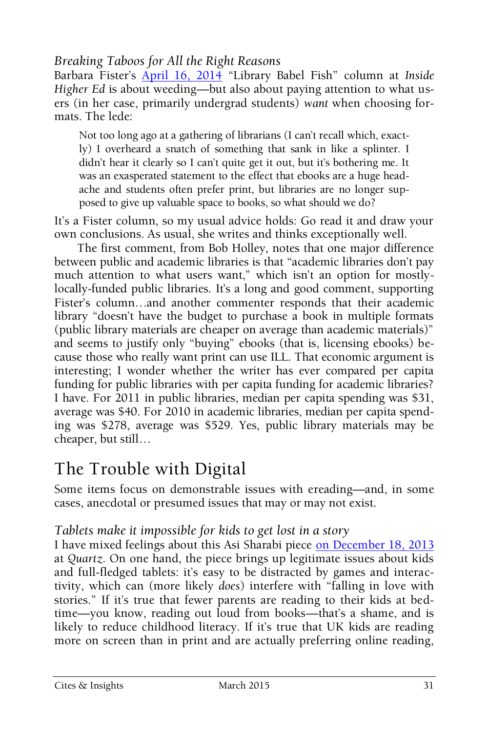#### *Breaking Taboos for All the Right Reasons*

Barbara Fister's [April 16, 2014](https://www.insidehighered.com/blogs/library-babel-fish/breaking-taboos-all-right-reasons) "Library Babel Fish" column at *Inside Higher Ed* is about weeding—but also about paying attention to what users (in her case, primarily undergrad students) *want* when choosing formats. The lede:

Not too long ago at a gathering of librarians (I can't recall which, exactly) I overheard a snatch of something that sank in like a splinter. I didn't hear it clearly so I can't quite get it out, but it's bothering me. It was an exasperated statement to the effect that ebooks are a huge headache and students often prefer print, but libraries are no longer supposed to give up valuable space to books, so what should we do?

It's a Fister column, so my usual advice holds: Go read it and draw your own conclusions. As usual, she writes and thinks exceptionally well.

The first comment, from Bob Holley, notes that one major difference between public and academic libraries is that "academic libraries don't pay much attention to what users want," which isn't an option for mostlylocally-funded public libraries. It's a long and good comment, supporting Fister's column…and another commenter responds that their academic library "doesn't have the budget to purchase a book in multiple formats (public library materials are cheaper on average than academic materials)" and seems to justify only "buying" ebooks (that is, licensing ebooks) because those who really want print can use ILL. That economic argument is interesting; I wonder whether the writer has ever compared per capita funding for public libraries with per capita funding for academic libraries? I have. For 2011 in public libraries, median per capita spending was \$31, average was \$40. For 2010 in academic libraries, median per capita spending was \$278, average was \$529. Yes, public library materials may be cheaper, but still…

## The Trouble with Digital

Some items focus on demonstrable issues with ereading—and, in some cases, anecdotal or presumed issues that may or may not exist.

#### *Tablets make it impossible for kids to get lost in a story*

I have mixed feelings about this Asi Sharabi piece [on December 18, 2013](http://qz.com/159059/tablets-make-it-impossible-for-kids-to-get-lost-in-a-story/) at *Quartz*. On one hand, the piece brings up legitimate issues about kids and full-fledged tablets: it's easy to be distracted by games and interactivity, which can (more likely *does*) interfere with "falling in love with stories." If it's true that fewer parents are reading to their kids at bedtime—you know, reading out loud from books—that's a shame, and is likely to reduce childhood literacy. If it's true that UK kids are reading more on screen than in print and are actually preferring online reading,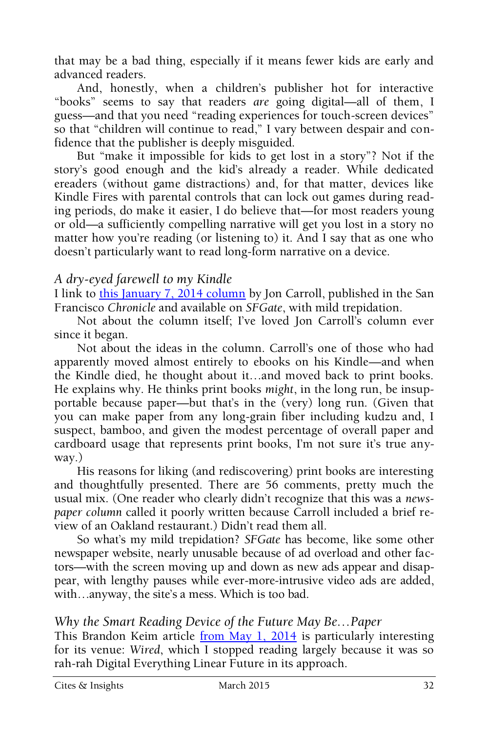that may be a bad thing, especially if it means fewer kids are early and advanced readers.

And, honestly, when a children's publisher hot for interactive "books" seems to say that readers *are* going digital—all of them, I guess—and that you need "reading experiences for touch-screen devices" so that "children will continue to read," I vary between despair and confidence that the publisher is deeply misguided.

But "make it impossible for kids to get lost in a story"? Not if the story's good enough and the kid's already a reader. While dedicated ereaders (without game distractions) and, for that matter, devices like Kindle Fires with parental controls that can lock out games during reading periods, do make it easier, I do believe that—for most readers young or old—a sufficiently compelling narrative will get you lost in a story no matter how you're reading (or listening to) it. And I say that as one who doesn't particularly want to read long-form narrative on a device.

#### *A dry-eyed farewell to my Kindle*

I link to [this January 7, 2014 column](http://www.sfgate.com/entertainment/carroll/article/A-dry-eyed-farewell-to-my-Kindle-5118958.php) by Jon Carroll, published in the San Francisco *Chronicle* and available on *SFGate*, with mild trepidation.

Not about the column itself; I've loved Jon Carroll's column ever since it began.

Not about the ideas in the column. Carroll's one of those who had apparently moved almost entirely to ebooks on his Kindle—and when the Kindle died, he thought about it…and moved back to print books. He explains why. He thinks print books *might*, in the long run, be insupportable because paper—but that's in the (very) long run. (Given that you can make paper from any long-grain fiber including kudzu and, I suspect, bamboo, and given the modest percentage of overall paper and cardboard usage that represents print books, I'm not sure it's true anyway.)

His reasons for liking (and rediscovering) print books are interesting and thoughtfully presented. There are 56 comments, pretty much the usual mix. (One reader who clearly didn't recognize that this was a *newspaper column* called it poorly written because Carroll included a brief review of an Oakland restaurant.) Didn't read them all.

So what's my mild trepidation? *SFGate* has become, like some other newspaper website, nearly unusable because of ad overload and other factors—with the screen moving up and down as new ads appear and disappear, with lengthy pauses while ever-more-intrusive video ads are added, with…anyway, the site's a mess. Which is too bad.

#### *Why the Smart Reading Device of the Future May Be…Paper*

This Brandon Keim article [from May 1, 2014](http://www.wired.com/2014/05/reading-on-screen-versus-paper/) is particularly interesting for its venue: *Wired*, which I stopped reading largely because it was so rah-rah Digital Everything Linear Future in its approach.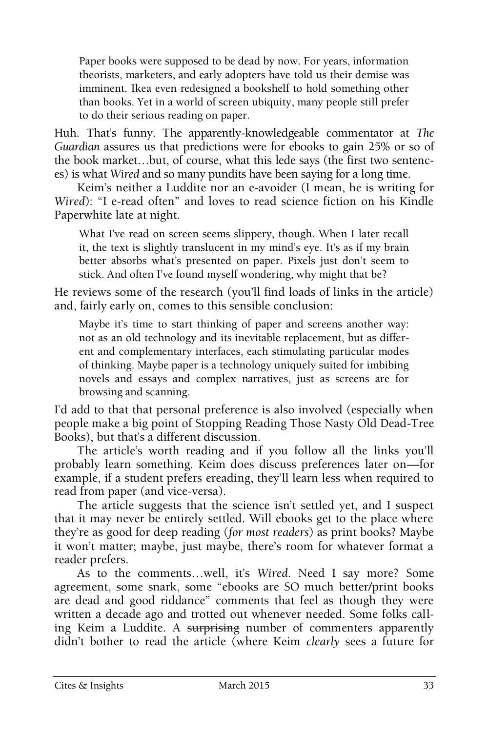Paper books were supposed to be dead by now. For years, information theorists, marketers, and early adopters have told us their demise was imminent. Ikea even redesigned a bookshelf to hold something other than books. Yet in a world of screen ubiquity, many people still prefer to do their serious reading on paper.

Huh. That's funny. The apparently-knowledgeable commentator at *The Guardian* assures us that predictions were for ebooks to gain 25% or so of the book market…but, of course, what this lede says (the first two sentences) is what *Wired* and so many pundits have been saying for a long time.

Keim's neither a Luddite nor an e-avoider (I mean, he is writing for *Wired*): "I e-read often" and loves to read science fiction on his Kindle Paperwhite late at night.

What I've read on screen seems slippery, though. When I later recall it, the text is slightly translucent in my mind's eye. It's as if my brain better absorbs what's presented on paper. Pixels just don't seem to stick. And often I've found myself wondering, why might that be?

He reviews some of the research (you'll find loads of links in the article) and, fairly early on, comes to this sensible conclusion:

Maybe it's time to start thinking of paper and screens another way: not as an old technology and its inevitable replacement, but as different and complementary interfaces, each stimulating particular modes of thinking. Maybe paper is a technology uniquely suited for imbibing novels and essays and complex narratives, just as screens are for browsing and scanning.

I'd add to that that personal preference is also involved (especially when people make a big point of Stopping Reading Those Nasty Old Dead-Tree Books), but that's a different discussion.

The article's worth reading and if you follow all the links you'll probably learn something. Keim does discuss preferences later on—for example, if a student prefers ereading, they'll learn less when required to read from paper (and vice-versa).

The article suggests that the science isn't settled yet, and I suspect that it may never be entirely settled. Will ebooks get to the place where they're as good for deep reading (*for most readers*) as print books? Maybe it won't matter; maybe, just maybe, there's room for whatever format a reader prefers.

As to the comments…well, it's *Wired*. Need I say more? Some agreement, some snark, some "ebooks are SO much better/print books are dead and good riddance" comments that feel as though they were written a decade ago and trotted out whenever needed. Some folks calling Keim a Luddite. A surprising number of commenters apparently didn't bother to read the article (where Keim *clearly* sees a future for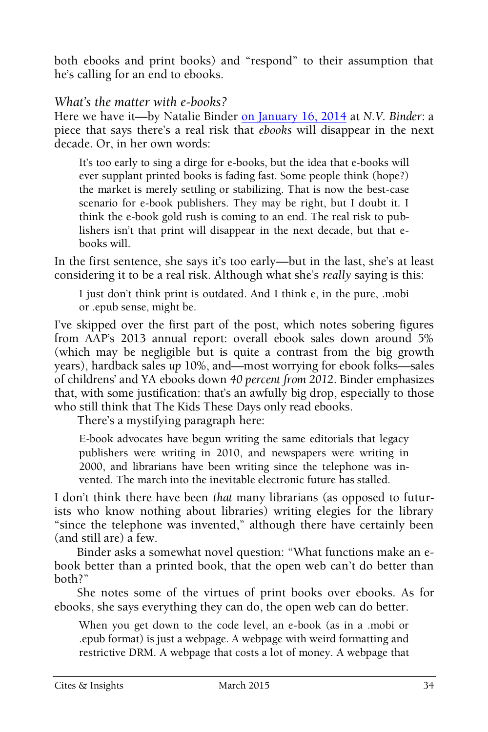both ebooks and print books) and "respond" to their assumption that he's calling for an end to ebooks.

#### *What's the matter with e-books?*

Here we have it—by Natalie Binder [on January](https://nvbinder.wordpress.com/2014/01/16/e-books/) 16, 2014 at *N.V. Binder*: a piece that says there's a real risk that *ebooks* will disappear in the next decade. Or, in her own words:

It's too early to sing a dirge for e-books, but the idea that e-books will ever supplant printed books is fading fast. Some people think (hope?) the market is merely settling or stabilizing. That is now the best-case scenario for e-book publishers. They may be right, but I doubt it. I think the e-book gold rush is coming to an end. The real risk to publishers isn't that print will disappear in the next decade, but that ebooks will.

In the first sentence, she says it's too early—but in the last, she's at least considering it to be a real risk. Although what she's *really* saying is this:

I just don't think print is outdated. And I think e, in the pure, .mobi or .epub sense, might be.

I've skipped over the first part of the post, which notes sobering figures from AAP's 2013 annual report: overall ebook sales down around 5% (which may be negligible but is quite a contrast from the big growth years), hardback sales *up* 10%, and—most worrying for ebook folks—sales of childrens' and YA ebooks down *40 percent from 2012*. Binder emphasizes that, with some justification: that's an awfully big drop, especially to those who still think that The Kids These Days only read ebooks.

There's a mystifying paragraph here:

E-book advocates have begun writing the same editorials that legacy publishers were writing in 2010, and newspapers were writing in 2000, and librarians have been writing since the telephone was invented. The march into the inevitable electronic future has stalled.

I don't think there have been *that* many librarians (as opposed to futurists who know nothing about libraries) writing elegies for the library "since the telephone was invented," although there have certainly been (and still are) a few.

Binder asks a somewhat novel question: "What functions make an ebook better than a printed book, that the open web can't do better than both?"

She notes some of the virtues of print books over ebooks. As for ebooks, she says everything they can do, the open web can do better.

When you get down to the code level, an e-book (as in a .mobi or .epub format) is just a webpage. A webpage with weird formatting and restrictive DRM. A webpage that costs a lot of money. A webpage that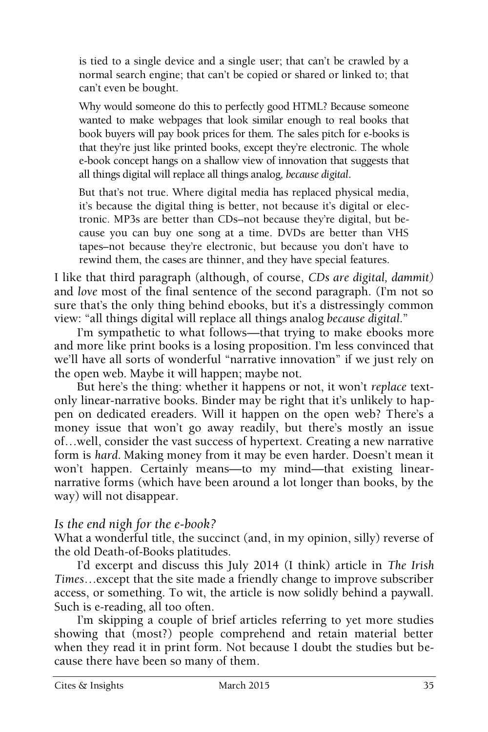is tied to a single device and a single user; that can't be crawled by a normal search engine; that can't be copied or shared or linked to; that can't even be bought.

Why would someone do this to perfectly good HTML? Because someone wanted to make webpages that look similar enough to real books that book buyers will pay book prices for them. The sales pitch for e-books is that they're just like printed books, except they're electronic. The whole e-book concept hangs on a shallow view of innovation that suggests that all things digital will replace all things analog*, because digital*.

But that's not true. Where digital media has replaced physical media, it's because the digital thing is better, not because it's digital or electronic. MP3s are better than CDs–not because they're digital, but because you can buy one song at a time. DVDs are better than VHS tapes–not because they're electronic, but because you don't have to rewind them, the cases are thinner, and they have special features.

I like that third paragraph (although, of course, *CDs are digital, dammit)* and *love* most of the final sentence of the second paragraph. (I'm not so sure that's the only thing behind ebooks, but it's a distressingly common view: "all things digital will replace all things analog *because digital*."

I'm sympathetic to what follows—that trying to make ebooks more and more like print books is a losing proposition. I'm less convinced that we'll have all sorts of wonderful "narrative innovation" if we just rely on the open web. Maybe it will happen; maybe not.

But here's the thing: whether it happens or not, it won't *replace* textonly linear-narrative books. Binder may be right that it's unlikely to happen on dedicated ereaders. Will it happen on the open web? There's a money issue that won't go away readily, but there's mostly an issue of…well, consider the vast success of hypertext. Creating a new narrative form is *hard*. Making money from it may be even harder. Doesn't mean it won't happen. Certainly means—to my mind—that existing linearnarrative forms (which have been around a lot longer than books, by the way) will not disappear.

#### *Is the end nigh for the e-book?*

What a wonderful title, the succinct (and, in my opinion, silly) reverse of the old Death-of-Books platitudes.

I'd excerpt and discuss this July 2014 (I think) article in *The Irish Times*…except that the site made a friendly change to improve subscriber access, or something. To wit, the article is now solidly behind a paywall. Such is e-reading, all too often.

I'm skipping a couple of brief articles referring to yet more studies showing that (most?) people comprehend and retain material better when they read it in print form. Not because I doubt the studies but because there have been so many of them.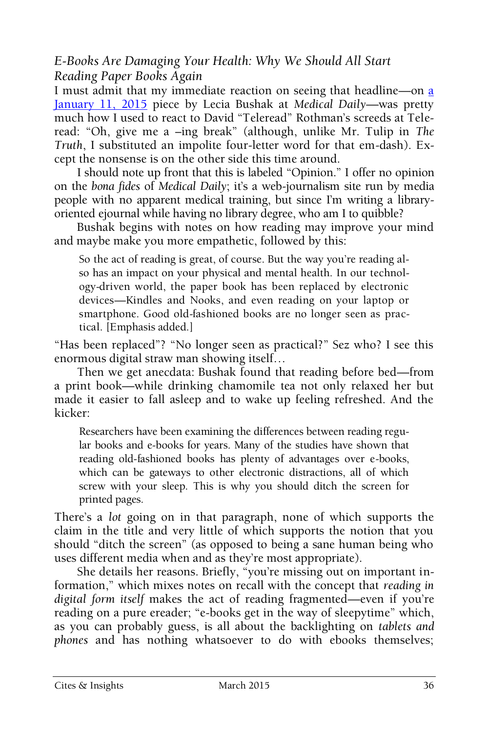*E-Books Are Damaging Your Health: Why We Should All Start Reading Paper Books Again*

I must admit that my immediate reaction on seeing that headline—on [a](http://www.medicaldaily.com/e-books-are-damaging-your-health-why-we-should-all-start-reading-paper-books-again-317212)  [January 11, 2015](http://www.medicaldaily.com/e-books-are-damaging-your-health-why-we-should-all-start-reading-paper-books-again-317212) piece by Lecia Bushak at *Medical Daily*—was pretty much how I used to react to David "Teleread" Rothman's screeds at Teleread: "Oh, give me a –ing break" (although, unlike Mr. Tulip in *The Truth*, I substituted an impolite four-letter word for that em-dash). Except the nonsense is on the other side this time around.

I should note up front that this is labeled "Opinion." I offer no opinion on the *bona fides* of *Medical Daily*; it's a web-journalism site run by media people with no apparent medical training, but since I'm writing a libraryoriented ejournal while having no library degree, who am I to quibble?

Bushak begins with notes on how reading may improve your mind and maybe make you more empathetic, followed by this:

So the act of reading is great, of course. But the way you're reading also has an impact on your physical and mental health. In our technology-driven world, the paper book has been replaced by electronic devices—Kindles and Nooks, and even reading on your laptop or smartphone. Good old-fashioned books are no longer seen as practical. [Emphasis added.]

"Has been replaced"? "No longer seen as practical?" Sez who? I see this enormous digital straw man showing itself…

Then we get anecdata: Bushak found that reading before bed—from a print book—while drinking chamomile tea not only relaxed her but made it easier to fall asleep and to wake up feeling refreshed. And the kicker:

Researchers have been examining the differences between reading regular books and e-books for years. Many of the studies have shown that reading old-fashioned books has plenty of advantages over e-books, which can be gateways to other electronic distractions, all of which screw with your sleep. This is why you should ditch the screen for printed pages.

There's a *lot* going on in that paragraph, none of which supports the claim in the title and very little of which supports the notion that you should "ditch the screen" (as opposed to being a sane human being who uses different media when and as they're most appropriate).

She details her reasons. Briefly, "you're missing out on important information," which mixes notes on recall with the concept that *reading in digital form itself* makes the act of reading fragmented—even if you're reading on a pure ereader; "e-books get in the way of sleepytime" which, as you can probably guess, is all about the backlighting on *tablets and phones* and has nothing whatsoever to do with ebooks themselves;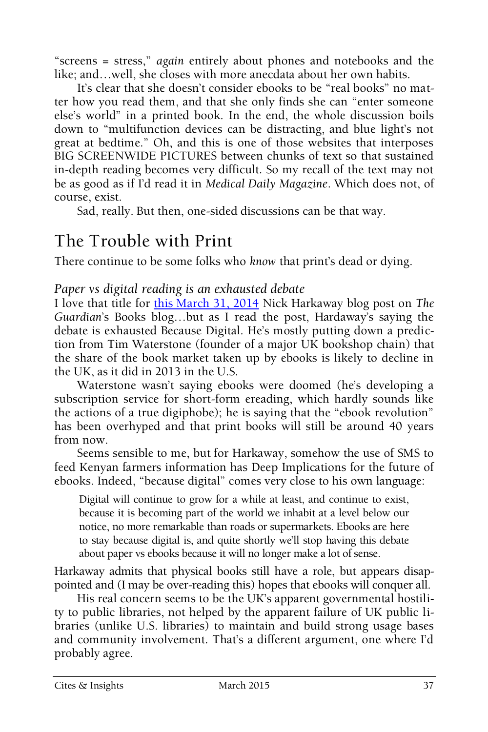"screens = stress," *again* entirely about phones and notebooks and the like; and…well, she closes with more anecdata about her own habits.

It's clear that she doesn't consider ebooks to be "real books" no matter how you read them, and that she only finds she can "enter someone else's world" in a printed book. In the end, the whole discussion boils down to "multifunction devices can be distracting, and blue light's not great at bedtime." Oh, and this is one of those websites that interposes BIG SCREENWIDE PICTURES between chunks of text so that sustained in-depth reading becomes very difficult. So my recall of the text may not be as good as if I'd read it in *Medical Daily Magazine*. Which does not, of course, exist.

Sad, really. But then, one-sided discussions can be that way.

## The Trouble with Print

There continue to be some folks who *know* that print's dead or dying.

#### *Paper vs digital reading is an exhausted debate*

I love that title for [this March 31, 2014](http://www.theguardian.com/books/booksblog/2014/mar/31/paper-vs-digital-reading-debate-ebooks-tim-waterstone?CMP=twt_gu) Nick Harkaway blog post on *The Guardian*'s Books blog…but as I read the post, Hardaway's saying the debate is exhausted Because Digital. He's mostly putting down a prediction from Tim Waterstone (founder of a major UK bookshop chain) that the share of the book market taken up by ebooks is likely to decline in the UK, as it did in 2013 in the U.S.

Waterstone wasn't saying ebooks were doomed (he's developing a subscription service for short-form ereading, which hardly sounds like the actions of a true digiphobe); he is saying that the "ebook revolution" has been overhyped and that print books will still be around 40 years from now.

Seems sensible to me, but for Harkaway, somehow the use of SMS to feed Kenyan farmers information has Deep Implications for the future of ebooks. Indeed, "because digital" comes very close to his own language:

Digital will continue to grow for a while at least, and continue to exist, because it is becoming part of the world we inhabit at a level below our notice, no more remarkable than roads or supermarkets. Ebooks are here to stay because digital is, and quite shortly we'll stop having this debate about paper vs ebooks because it will no longer make a lot of sense.

Harkaway admits that physical books still have a role, but appears disappointed and (I may be over-reading this) hopes that ebooks will conquer all.

His real concern seems to be the UK's apparent governmental hostility to public libraries, not helped by the apparent failure of UK public libraries (unlike U.S. libraries) to maintain and build strong usage bases and community involvement. That's a different argument, one where I'd probably agree.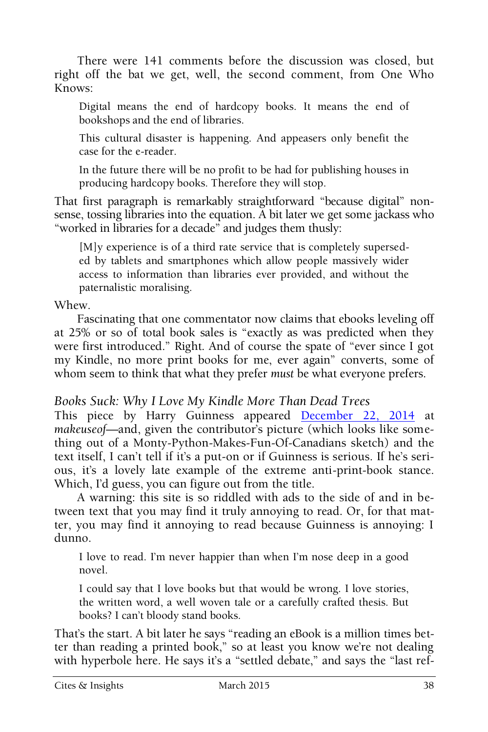There were 141 comments before the discussion was closed, but right off the bat we get, well, the second comment, from One Who Knows:

Digital means the end of hardcopy books. It means the end of bookshops and the end of libraries.

This cultural disaster is happening. And appeasers only benefit the case for the e-reader.

In the future there will be no profit to be had for publishing houses in producing hardcopy books. Therefore they will stop.

That first paragraph is remarkably straightforward "because digital" nonsense, tossing libraries into the equation. A bit later we get some jackass who "worked in libraries for a decade" and judges them thusly:

[M]y experience is of a third rate service that is completely superseded by tablets and smartphones which allow people massively wider access to information than libraries ever provided, and without the paternalistic moralising.

Whew.

Fascinating that one commentator now claims that ebooks leveling off at 25% or so of total book sales is "exactly as was predicted when they were first introduced." Right. And of course the spate of "ever since I got my Kindle, no more print books for me, ever again" converts, some of whom seem to think that what they prefer *must* be what everyone prefers.

#### *Books Suck: Why I Love My Kindle More Than Dead Trees*

This piece by Harry Guinness appeared [December 22, 2014](http://www.makeuseof.com/tag/books-suck-love-kindle-dead-trees/) at *makeuseof*—and, given the contributor's picture (which looks like something out of a Monty-Python-Makes-Fun-Of-Canadians sketch) and the text itself, I can't tell if it's a put-on or if Guinness is serious. If he's serious, it's a lovely late example of the extreme anti-print-book stance. Which, I'd guess, you can figure out from the title.

A warning: this site is so riddled with ads to the side of and in between text that you may find it truly annoying to read. Or, for that matter, you may find it annoying to read because Guinness is annoying: I dunno.

I love to read. I'm never happier than when I'm nose deep in a good novel.

I could say that I love books but that would be wrong. I love stories, the written word, a well woven tale or a carefully crafted thesis. But books? I can't bloody stand books.

That's the start. A bit later he says "reading an eBook is a million times better than reading a printed book," so at least you know we're not dealing with hyperbole here. He says it's a "settled debate," and says the "last ref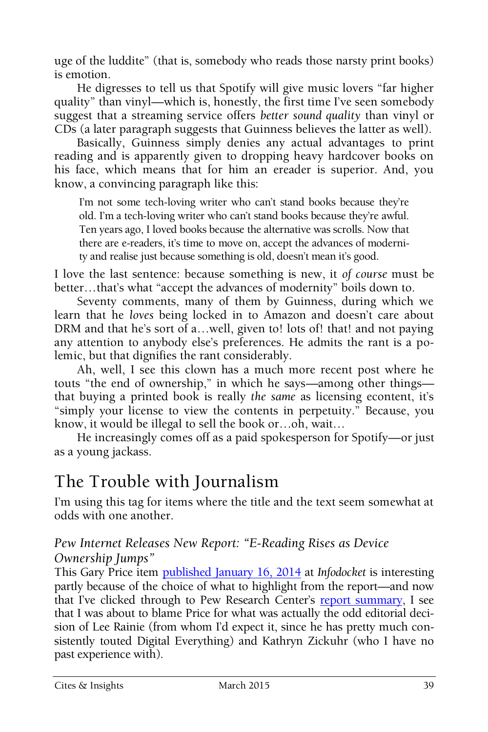uge of the luddite" (that is, somebody who reads those narsty print books) is emotion.

He digresses to tell us that Spotify will give music lovers "far higher quality" than vinyl—which is, honestly, the first time I've seen somebody suggest that a streaming service offers *better sound quality* than vinyl or CDs (a later paragraph suggests that Guinness believes the latter as well).

Basically, Guinness simply denies any actual advantages to print reading and is apparently given to dropping heavy hardcover books on his face, which means that for him an ereader is superior. And, you know, a convincing paragraph like this:

I'm not some tech-loving writer who can't stand books because they're old. I'm a tech-loving writer who can't stand books because they're awful. Ten years ago, I loved books because the alternative was scrolls. Now that there are e-readers, it's time to move on, accept the advances of modernity and realise just because something is old, doesn't mean it's good.

I love the last sentence: because something is new, it *of course* must be better…that's what "accept the advances of modernity" boils down to.

Seventy comments, many of them by Guinness, during which we learn that he *loves* being locked in to Amazon and doesn't care about DRM and that he's sort of a...well, given to! lots of! that! and not paying any attention to anybody else's preferences. He admits the rant is a polemic, but that dignifies the rant considerably.

Ah, well, I see this clown has a much more recent post where he touts "the end of ownership," in which he says—among other things that buying a printed book is really *the same* as licensing econtent, it's "simply your license to view the contents in perpetuity." Because, you know, it would be illegal to sell the book or…oh, wait…

He increasingly comes off as a paid spokesperson for Spotify—or just as a young jackass.

## The Trouble with Journalism

I'm using this tag for items where the title and the text seem somewhat at odds with one another.

#### *Pew Internet Releases New Report: "E-Reading Rises as Device Ownership Jumps"*

This Gary Price item [published January 16, 2014](http://www.infodocket.com/2014/01/16/pew-internet-releases-new-report-e-reading-rises-as-device-ownership-jumps/) at *Infodocket* is interesting partly because of the choice of what to highlight from the report—and now that I've clicked through to Pew Research Center's [report summary,](http://www.pewinternet.org/2014/01/16/e-reading-rises-as-device-ownership-jumps/) I see that I was about to blame Price for what was actually the odd editorial decision of Lee Rainie (from whom I'd expect it, since he has pretty much consistently touted Digital Everything) and Kathryn Zickuhr (who I have no past experience with).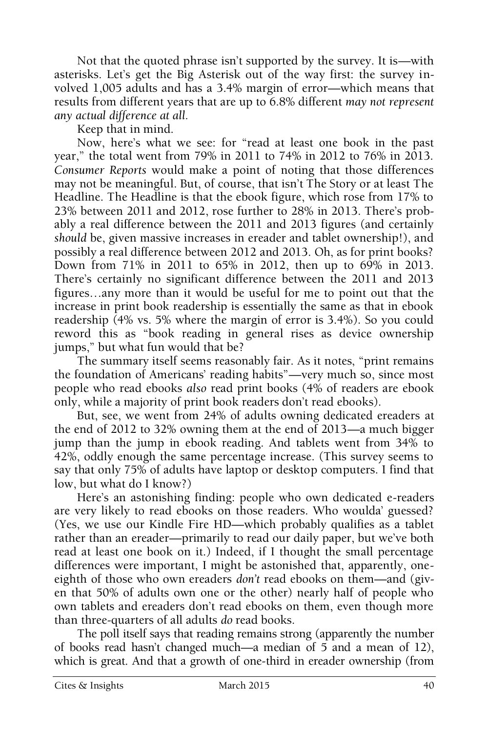Not that the quoted phrase isn't supported by the survey. It is—with asterisks. Let's get the Big Asterisk out of the way first: the survey involved 1,005 adults and has a 3.4% margin of error—which means that results from different years that are up to 6.8% different *may not represent any actual difference at all.*

Keep that in mind.

Now, here's what we see: for "read at least one book in the past year," the total went from 79% in 2011 to 74% in 2012 to 76% in 2013. *Consumer Reports* would make a point of noting that those differences may not be meaningful. But, of course, that isn't The Story or at least The Headline. The Headline is that the ebook figure, which rose from 17% to 23% between 2011 and 2012, rose further to 28% in 2013. There's probably a real difference between the 2011 and 2013 figures (and certainly *should* be, given massive increases in ereader and tablet ownership!), and possibly a real difference between 2012 and 2013. Oh, as for print books? Down from 71% in 2011 to 65% in 2012, then up to 69% in 2013. There's certainly no significant difference between the 2011 and 2013 figures…any more than it would be useful for me to point out that the increase in print book readership is essentially the same as that in ebook readership (4% vs. 5% where the margin of error is 3.4%). So you could reword this as "book reading in general rises as device ownership jumps," but what fun would that be?

The summary itself seems reasonably fair. As it notes, "print remains the foundation of Americans' reading habits"—very much so, since most people who read ebooks *also* read print books (4% of readers are ebook only, while a majority of print book readers don't read ebooks).

But, see, we went from 24% of adults owning dedicated ereaders at the end of 2012 to 32% owning them at the end of 2013—a much bigger jump than the jump in ebook reading. And tablets went from 34% to 42%, oddly enough the same percentage increase. (This survey seems to say that only 75% of adults have laptop or desktop computers. I find that low, but what do I know?)

Here's an astonishing finding: people who own dedicated e-readers are very likely to read ebooks on those readers. Who woulda' guessed? (Yes, we use our Kindle Fire HD—which probably qualifies as a tablet rather than an ereader—primarily to read our daily paper, but we've both read at least one book on it.) Indeed, if I thought the small percentage differences were important, I might be astonished that, apparently, oneeighth of those who own ereaders *don't* read ebooks on them—and (given that 50% of adults own one or the other) nearly half of people who own tablets and ereaders don't read ebooks on them, even though more than three-quarters of all adults *do* read books.

The poll itself says that reading remains strong (apparently the number of books read hasn't changed much—a median of 5 and a mean of 12), which is great. And that a growth of one-third in ereader ownership (from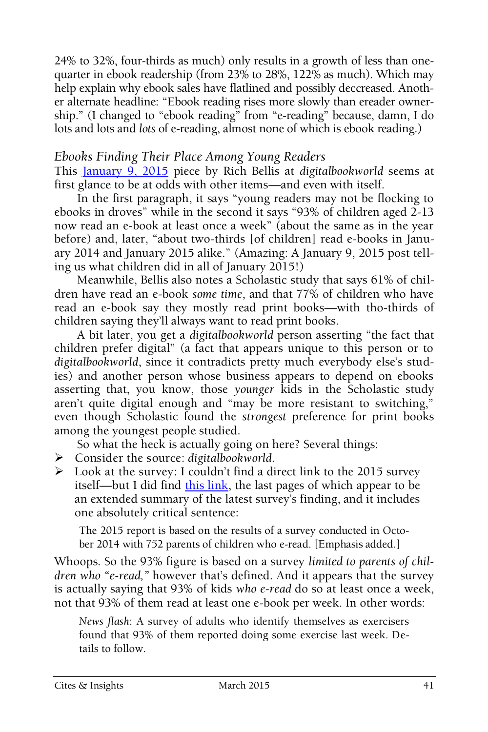24% to 32%, four-thirds as much) only results in a growth of less than onequarter in ebook readership (from 23% to 28%, 122% as much). Which may help explain why ebook sales have flatlined and possibly deccreased. Another alternate headline: "Ebook reading rises more slowly than ereader ownership." (I changed to "ebook reading" from "e-reading" because, damn, I do lots and lots and *lots* of e-reading, almost none of which is ebook reading.)

#### *Ebooks Finding Their Place Among Young Readers*

This [January 9, 2015](http://www.digitalbookworld.com/2015/ebooks-finding-their-place-among-young-readers/) piece by Rich Bellis at *digitalbookworld* seems at first glance to be at odds with other items—and even with itself.

In the first paragraph, it says "young readers may not be flocking to ebooks in droves" while in the second it says "93% of children aged 2-13 now read an e-book at least once a week" (about the same as in the year before) and, later, "about two-thirds [of children] read e-books in January 2014 and January 2015 alike." (Amazing: A January 9, 2015 post telling us what children did in all of January 2015!)

Meanwhile, Bellis also notes a Scholastic study that says 61% of children have read an e-book *some time*, and that 77% of children who have read an e-book say they mostly read print books—with tho-thirds of children saying they'll always want to read print books.

A bit later, you get a *digitalbookworld* person asserting "the fact that children prefer digital" (a fact that appears unique to this person or to *digitalbookworld*, since it contradicts pretty much everybody else's studies) and another person whose business appears to depend on ebooks asserting that, you know, those *younger* kids in the Scholastic study aren't quite digital enough and "may be more resistant to switching," even though Scholastic found the *strongest* preference for print books among the youngest people studied.

So what the heck is actually going on here? Several things:

- Consider the source: *digitalbookworld*.
- $\triangleright$  Look at the survey: I couldn't find a direct link to the 2015 survey itself—but I did find [this link,](http://media.publishersmarketplace.com/wp-content/uploads/2015/01/LaunchKids2015.pdf) the last pages of which appear to be an extended summary of the latest survey's finding, and it includes one absolutely critical sentence:

The 2015 report is based on the results of a survey conducted in October 2014 with 752 parents of children who e-read. [Emphasis added.]

Whoops. So the 93% figure is based on a survey *limited to parents of children who "e-read,"* however that's defined. And it appears that the survey is actually saying that 93% of kids *who e-read* do so at least once a week, not that 93% of them read at least one e-book per week. In other words:

*News flash*: A survey of adults who identify themselves as exercisers found that 93% of them reported doing some exercise last week. Details to follow.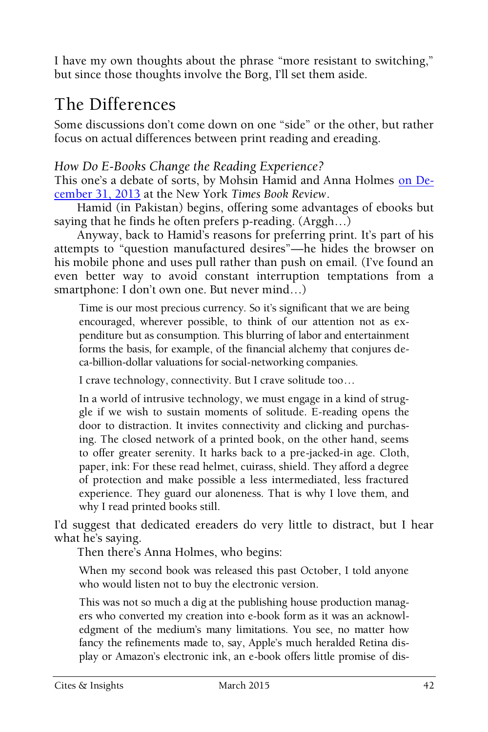I have my own thoughts about the phrase "more resistant to switching," but since those thoughts involve the Borg, I'll set them aside.

## The Differences

Some discussions don't come down on one "side" or the other, but rather focus on actual differences between print reading and ereading.

#### *How Do E-Books Change the Reading Experience?*

This one's a debate of sorts, by Mohsin Hamid and Anna Holmes [on De](http://www.nytimes.com/2014/01/05/books/review/how-do-e-books-change-the-reading-experience.html?nl=todaysheadlines&emc=edit_th_20140103&_r=1&)[cember 31, 2013](http://www.nytimes.com/2014/01/05/books/review/how-do-e-books-change-the-reading-experience.html?nl=todaysheadlines&emc=edit_th_20140103&_r=1&) at the New York *Times Book Review*.

Hamid (in Pakistan) begins, offering some advantages of ebooks but saying that he finds he often prefers p-reading. (Arggh…)

Anyway, back to Hamid's reasons for preferring print. It's part of his attempts to "question manufactured desires"—he hides the browser on his mobile phone and uses pull rather than push on email. (I've found an even better way to avoid constant interruption temptations from a smartphone: I don't own one. But never mind…)

Time is our most precious currency. So it's significant that we are being encouraged, wherever possible, to think of our attention not as expenditure but as consumption. This blurring of labor and entertainment forms the basis, for example, of the financial alchemy that conjures deca-billion-dollar valuations for social-networking companies.

I crave technology, connectivity. But I crave solitude too…

In a world of intrusive technology, we must engage in a kind of struggle if we wish to sustain moments of solitude. E-reading opens the door to distraction. It invites connectivity and clicking and purchasing. The closed network of a printed book, on the other hand, seems to offer greater serenity. It harks back to a pre-jacked-in age. Cloth, paper, ink: For these read helmet, cuirass, shield. They afford a degree of protection and make possible a less intermediated, less fractured experience. They guard our aloneness. That is why I love them, and why I read printed books still.

I'd suggest that dedicated ereaders do very little to distract, but I hear what he's saying.

Then there's Anna Holmes, who begins:

When my second book was released this past October, I told anyone who would listen not to buy the electronic version.

This was not so much a dig at the publishing house production managers who converted my creation into e-book form as it was an acknowledgment of the medium's many limitations. You see, no matter how fancy the refinements made to, say, Apple's much heralded Retina display or Amazon's electronic ink, an e-book offers little promise of dis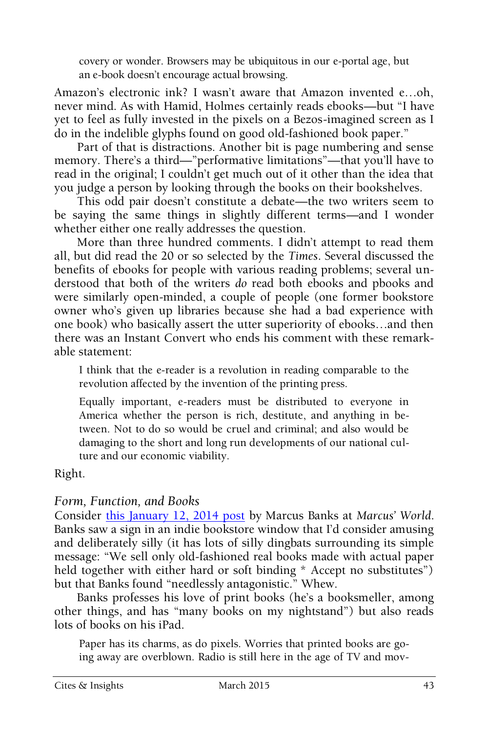covery or wonder. Browsers may be ubiquitous in our e-portal age, but an e-book doesn't encourage actual browsing.

Amazon's electronic ink? I wasn't aware that Amazon invented e…oh, never mind. As with Hamid, Holmes certainly reads ebooks—but "I have yet to feel as fully invested in the pixels on a Bezos-imagined screen as I do in the indelible glyphs found on good old-fashioned book paper."

Part of that is distractions. Another bit is page numbering and sense memory. There's a third—"performative limitations"—that you'll have to read in the original; I couldn't get much out of it other than the idea that you judge a person by looking through the books on their bookshelves.

This odd pair doesn't constitute a debate—the two writers seem to be saying the same things in slightly different terms—and I wonder whether either one really addresses the question.

More than three hundred comments. I didn't attempt to read them all, but did read the 20 or so selected by the *Times*. Several discussed the benefits of ebooks for people with various reading problems; several understood that both of the writers *do* read both ebooks and pbooks and were similarly open-minded, a couple of people (one former bookstore owner who's given up libraries because she had a bad experience with one book) who basically assert the utter superiority of ebooks…and then there was an Instant Convert who ends his comment with these remarkable statement:

I think that the e-reader is a revolution in reading comparable to the revolution affected by the invention of the printing press.

Equally important, e-readers must be distributed to everyone in America whether the person is rich, destitute, and anything in between. Not to do so would be cruel and criminal; and also would be damaging to the short and long run developments of our national culture and our economic viability.

Right.

#### *Form, Function, and Books*

Consider [this January 12, 2014 post](http://mbanks.typepad.com/my_weblog/2014/01/form-function-and-books.html) by Marcus Banks at *Marcus' World*. Banks saw a sign in an indie bookstore window that I'd consider amusing and deliberately silly (it has lots of silly dingbats surrounding its simple message: "We sell only old-fashioned real books made with actual paper held together with either hard or soft binding \* Accept no substitutes") but that Banks found "needlessly antagonistic." Whew.

Banks professes his love of print books (he's a booksmeller, among other things, and has "many books on my nightstand") but also reads lots of books on his iPad.

Paper has its charms, as do pixels. Worries that printed books are going away are overblown. Radio is still here in the age of TV and mov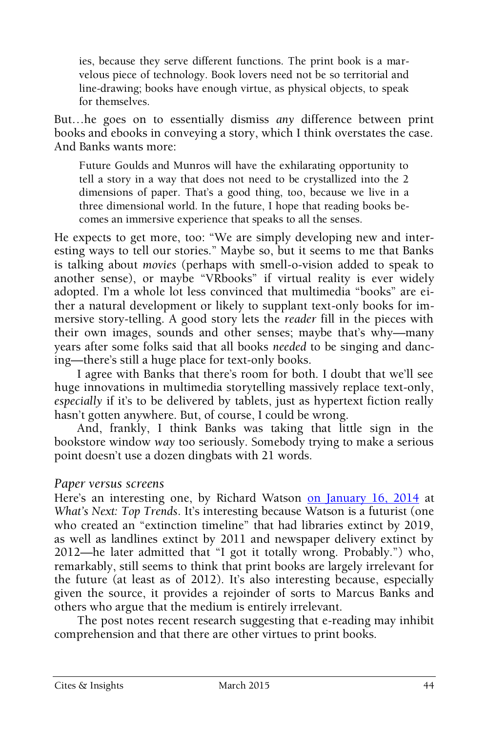ies, because they serve different functions. The print book is a marvelous piece of technology. Book lovers need not be so territorial and line-drawing; books have enough virtue, as physical objects, to speak for themselves.

But…he goes on to essentially dismiss *any* difference between print books and ebooks in conveying a story, which I think overstates the case. And Banks wants more:

Future Goulds and Munros will have the exhilarating opportunity to tell a story in a way that does not need to be crystallized into the 2 dimensions of paper. That's a good thing, too, because we live in a three dimensional world. In the future, I hope that reading books becomes an immersive experience that speaks to all the senses.

He expects to get more, too: "We are simply developing new and interesting ways to tell our stories." Maybe so, but it seems to me that Banks is talking about *movies* (perhaps with smell-o-vision added to speak to another sense), or maybe "VRbooks" if virtual reality is ever widely adopted. I'm a whole lot less convinced that multimedia "books" are either a natural development or likely to supplant text-only books for immersive story-telling. A good story lets the *reader* fill in the pieces with their own images, sounds and other senses; maybe that's why—many years after some folks said that all books *needed* to be singing and dancing—there's still a huge place for text-only books.

I agree with Banks that there's room for both. I doubt that we'll see huge innovations in multimedia storytelling massively replace text-only, *especially* if it's to be delivered by tablets, just as hypertext fiction really hasn't gotten anywhere. But, of course, I could be wrong.

And, frankly, I think Banks was taking that little sign in the bookstore window *way* too seriously. Somebody trying to make a serious point doesn't use a dozen dingbats with 21 words.

#### *Paper versus screens*

Here's an interesting one, by Richard Watson [on January 16, 2014](http://toptrends.nowandnext.com/2014/01/16/paper-versus-screens/) at *What's Next: Top Trends*. It's interesting because Watson is a futurist (one who created an "extinction timeline" that had libraries extinct by 2019, as well as landlines extinct by 2011 and newspaper delivery extinct by 2012—he later admitted that "I got it totally wrong. Probably.") who, remarkably, still seems to think that print books are largely irrelevant for the future (at least as of 2012). It's also interesting because, especially given the source, it provides a rejoinder of sorts to Marcus Banks and others who argue that the medium is entirely irrelevant.

The post notes recent research suggesting that e-reading may inhibit comprehension and that there are other virtues to print books.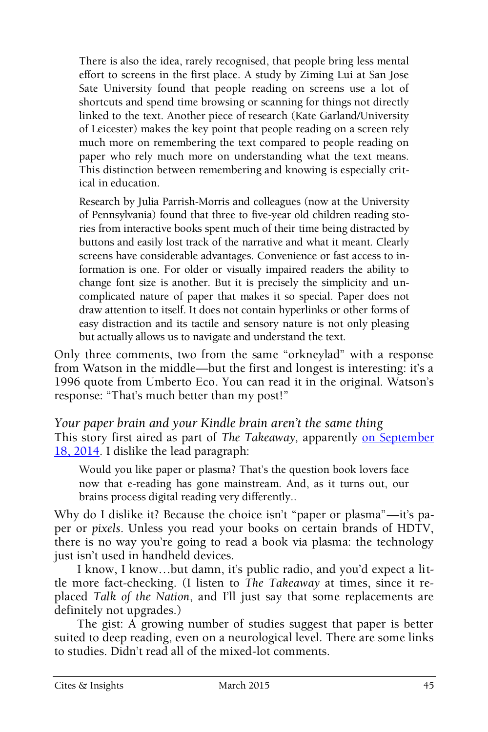There is also the idea, rarely recognised, that people bring less mental effort to screens in the first place. A study by Ziming Lui at San Jose Sate University found that people reading on screens use a lot of shortcuts and spend time browsing or scanning for things not directly linked to the text. Another piece of research (Kate Garland/University of Leicester) makes the key point that people reading on a screen rely much more on remembering the text compared to people reading on paper who rely much more on understanding what the text means. This distinction between remembering and knowing is especially critical in education.

Research by Julia Parrish-Morris and colleagues (now at the University of Pennsylvania) found that three to five-year old children reading stories from interactive books spent much of their time being distracted by buttons and easily lost track of the narrative and what it meant. Clearly screens have considerable advantages. Convenience or fast access to information is one. For older or visually impaired readers the ability to change font size is another. But it is precisely the simplicity and uncomplicated nature of paper that makes it so special. Paper does not draw attention to itself. It does not contain hyperlinks or other forms of easy distraction and its tactile and sensory nature is not only pleasing but actually allows us to navigate and understand the text.

Only three comments, two from the same "orkneylad" with a response from Watson in the middle—but the first and longest is interesting: it's a 1996 quote from Umberto Eco. You can read it in the original. Watson's response: "That's much better than my post!"

*Your paper brain and your Kindle brain aren't the same thing* This story first aired as part of *The Takeaway*, apparently on September [18, 2014.](http://www.pri.org/stories/2014-09-18/your-paper-brain-and-your-kindle-brain-arent-same-thing) I dislike the lead paragraph:

Would you like paper or plasma? That's the question book lovers face now that e-reading has gone mainstream. And, as it turns out, our brains process digital reading very differently..

Why do I dislike it? Because the choice isn't "paper or plasma"—it's paper or *pixels*. Unless you read your books on certain brands of HDTV, there is no way you're going to read a book via plasma: the technology just isn't used in handheld devices.

I know, I know…but damn, it's public radio, and you'd expect a little more fact-checking. (I listen to *The Takeaway* at times, since it replaced *Talk of the Nation*, and I'll just say that some replacements are definitely not upgrades.)

The gist: A growing number of studies suggest that paper is better suited to deep reading, even on a neurological level. There are some links to studies. Didn't read all of the mixed-lot comments.